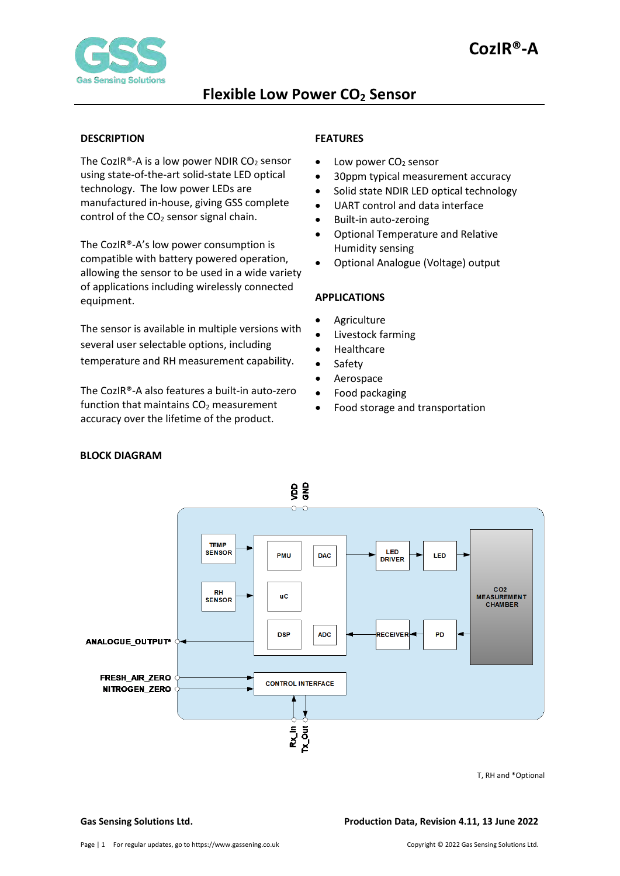

#### <span id="page-0-0"></span>**DESCRIPTION**

The CozIR®-A is a low power NDIR  $CO<sub>2</sub>$  sensor using state-of-the-art solid-state LED optical technology. The low power LEDs are manufactured in-house, giving GSS complete control of the CO<sub>2</sub> sensor signal chain.

The CozIR®-A's low power consumption is compatible with battery powered operation, allowing the sensor to be used in a wide variety of applications including wirelessly connected equipment.

The sensor is available in multiple versions with several user selectable options, including temperature and RH measurement capability.

The CozIR®-A also features a built-in auto-zero function that maintains  $CO<sub>2</sub>$  measurement accuracy over the lifetime of the product.

#### <span id="page-0-1"></span>**FEATURES**

- $\bullet$  Low power CO<sub>2</sub> sensor
- 30ppm typical measurement accuracy
- Solid state NDIR LED optical technology
- UART control and data interface
- Built-in auto-zeroing
- Optional Temperature and Relative Humidity sensing
- Optional Analogue (Voltage) output

#### <span id="page-0-2"></span>**APPLICATIONS**

- **Agriculture**
- Livestock farming
- **Healthcare**
- Safety
- **Aerospace**
- Food packaging
- Food storage and transportation



T, RH and \*Optional

#### **Gas Sensing Solutions Ltd. Production Data, Revision 4.11, 13 June 2022**

### <span id="page-0-3"></span> **BLOCK DIAGRAM**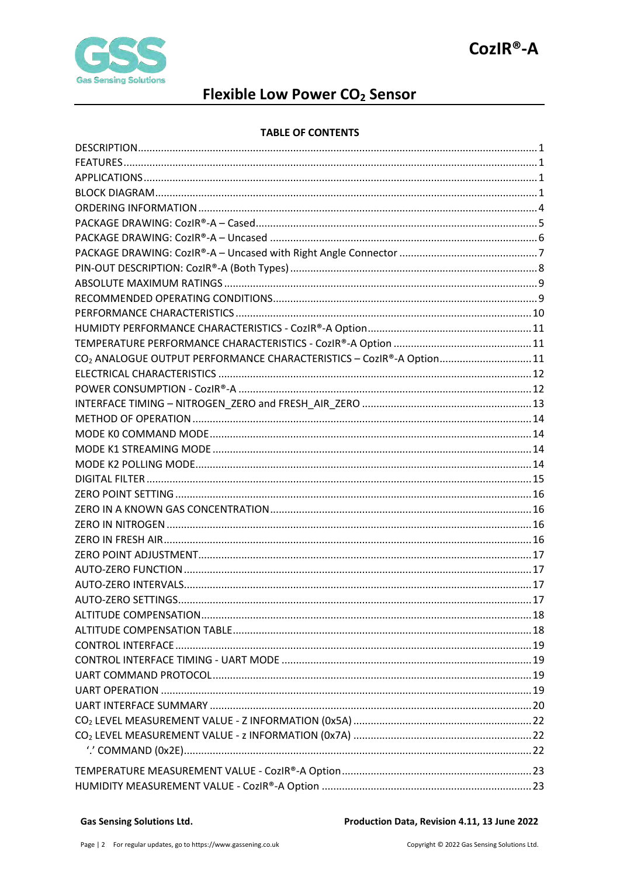

# Flexible Low Power CO<sub>2</sub> Sensor

#### **TABLE OF CONTENTS**

| CO <sub>2</sub> ANALOGUE OUTPUT PERFORMANCE CHARACTERISTICS - CozIR®-A Option11 |  |
|---------------------------------------------------------------------------------|--|
|                                                                                 |  |
|                                                                                 |  |
|                                                                                 |  |
|                                                                                 |  |
|                                                                                 |  |
|                                                                                 |  |
|                                                                                 |  |
|                                                                                 |  |
|                                                                                 |  |
|                                                                                 |  |
|                                                                                 |  |
|                                                                                 |  |
|                                                                                 |  |
|                                                                                 |  |
|                                                                                 |  |
|                                                                                 |  |
|                                                                                 |  |
|                                                                                 |  |
|                                                                                 |  |
|                                                                                 |  |
|                                                                                 |  |
|                                                                                 |  |
|                                                                                 |  |
|                                                                                 |  |
|                                                                                 |  |
|                                                                                 |  |
|                                                                                 |  |
|                                                                                 |  |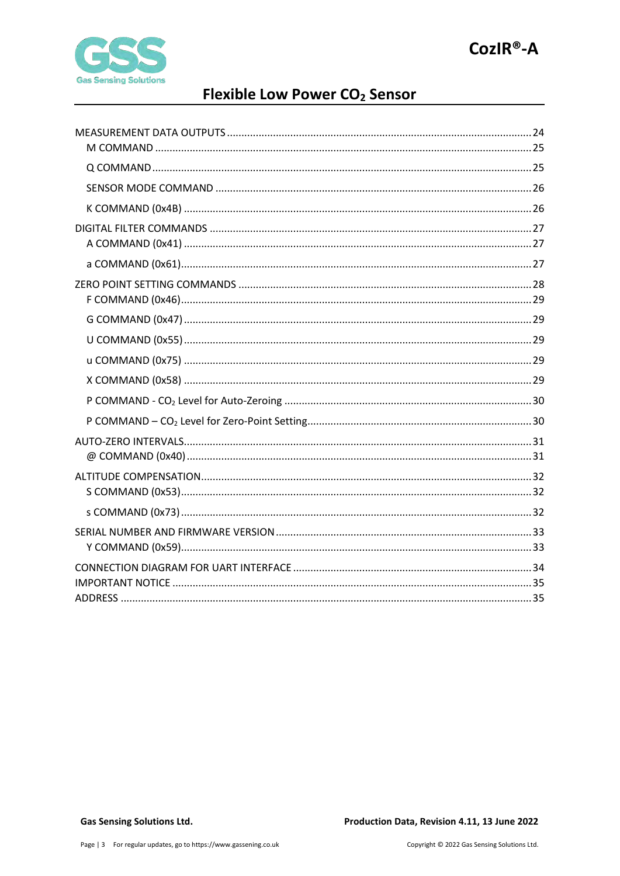

# Flexible Low Power CO<sub>2</sub> Sensor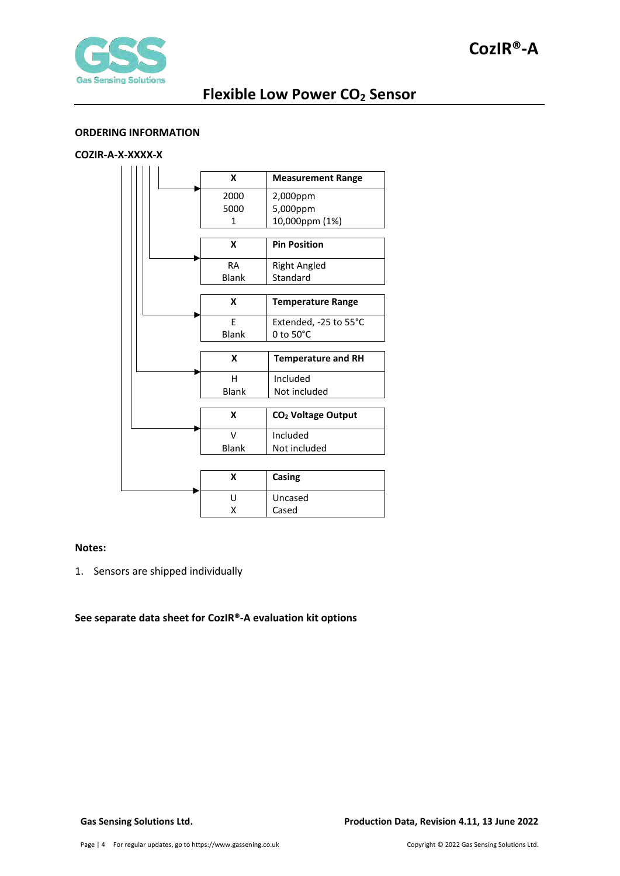



### <span id="page-3-0"></span>**ORDERING INFORMATION**

### **COZIR-A-X-XXXX-X**

|  | X<br><b>Measurement Range</b> |                                |  |
|--|-------------------------------|--------------------------------|--|
|  | 2000                          | 2,000ppm                       |  |
|  | 5000                          | 5,000ppm                       |  |
|  | 1                             | 10,000ppm (1%)                 |  |
|  |                               |                                |  |
|  | X                             | <b>Pin Position</b>            |  |
|  | <b>RA</b>                     | <b>Right Angled</b>            |  |
|  | <b>Blank</b>                  | Standard                       |  |
|  |                               |                                |  |
|  | X                             | <b>Temperature Range</b>       |  |
|  | F                             | Extended, -25 to 55°C          |  |
|  | Blank                         | 0 to 50°C                      |  |
|  |                               |                                |  |
|  |                               |                                |  |
|  | X                             | <b>Temperature and RH</b>      |  |
|  | н                             | Included                       |  |
|  | <b>Blank</b>                  | Not included                   |  |
|  |                               |                                |  |
|  | X                             | CO <sub>2</sub> Voltage Output |  |
|  | $\mathsf{V}$                  | Included                       |  |
|  | Blank                         | Not included                   |  |
|  |                               |                                |  |
|  | X                             | Casing                         |  |
|  | U                             | Uncased                        |  |

#### **Notes:**

1. Sensors are shipped individually

#### **See separate data sheet for CozIR®-A evaluation kit options**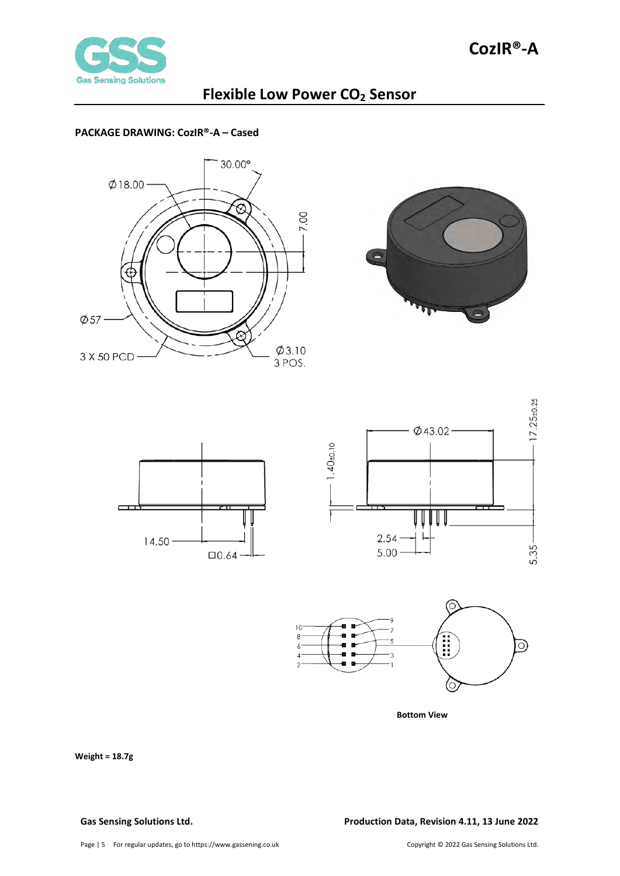

### <span id="page-4-0"></span>**PACKAGE DRAWING: CozIR®-A – Cased**











**Bottom View**

**Weight = 18.7g** 

#### **Gas Sensing Solutions Ltd. Production Data, Revision 4.11, 13 June 2022**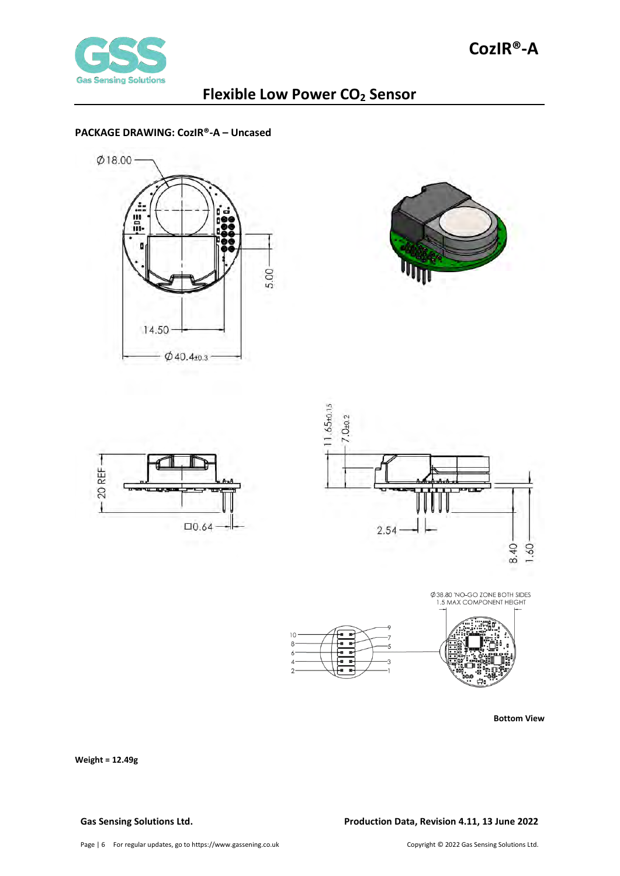

 $10$ 8

B

### <span id="page-5-0"></span>**PACKAGE DRAWING: CozIR®-A – Uncased**









Ø 38.80 'NO-GO ZONE BOTH SIDES<br>1.5 MAX COMPONENT HEIGHT

**Bottom View**

**Weight = 12.49g** 

#### **Gas Sensing Solutions Ltd. Production Data, Revision 4.11, 13 June 2022**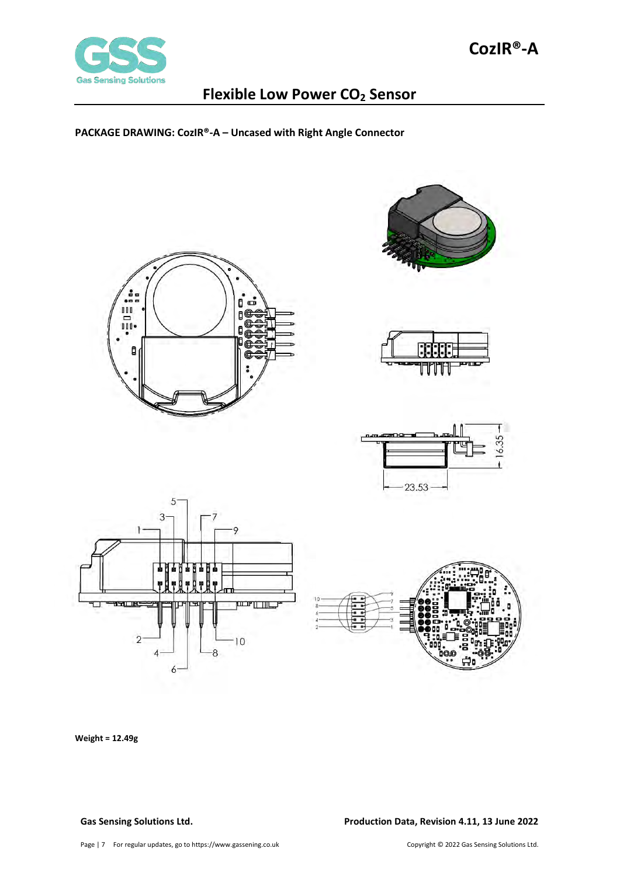

<span id="page-6-0"></span>**PACKAGE DRAWING: CozIR®-A – Uncased with Right Angle Connector**













**Weight = 12.49g**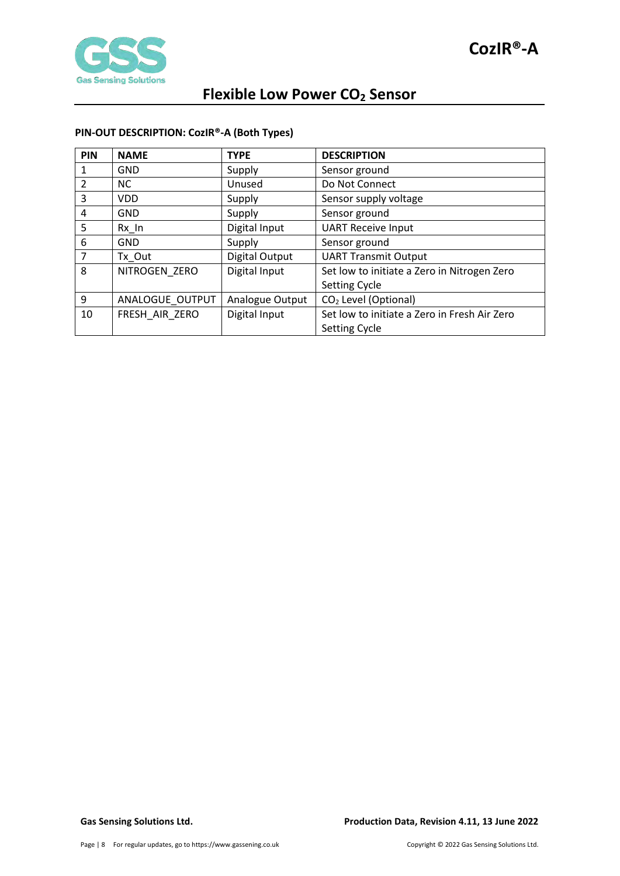

### <span id="page-7-0"></span>**PIN-OUT DESCRIPTION: CozIR®-A (Both Types)**

| PIN           | <b>NAME</b>     | <b>TYPE</b>     | <b>DESCRIPTION</b>                           |
|---------------|-----------------|-----------------|----------------------------------------------|
| 1             | <b>GND</b>      | Supply          | Sensor ground                                |
| $\mathcal{P}$ | <b>NC</b>       | Unused          | Do Not Connect                               |
| 3             | <b>VDD</b>      | Supply          | Sensor supply voltage                        |
| 4             | <b>GND</b>      | Supply          | Sensor ground                                |
| 5             | Rx In           | Digital Input   | <b>UART Receive Input</b>                    |
| 6             | <b>GND</b>      | Supply          | Sensor ground                                |
|               | Tx Out          | Digital Output  | <b>UART Transmit Output</b>                  |
| 8             | NITROGEN ZERO   | Digital Input   | Set low to initiate a Zero in Nitrogen Zero  |
|               |                 |                 | <b>Setting Cycle</b>                         |
| 9             | ANALOGUE OUTPUT | Analogue Output | CO <sub>2</sub> Level (Optional)             |
| 10            | FRESH AIR ZERO  | Digital Input   | Set low to initiate a Zero in Fresh Air Zero |
|               |                 |                 | <b>Setting Cycle</b>                         |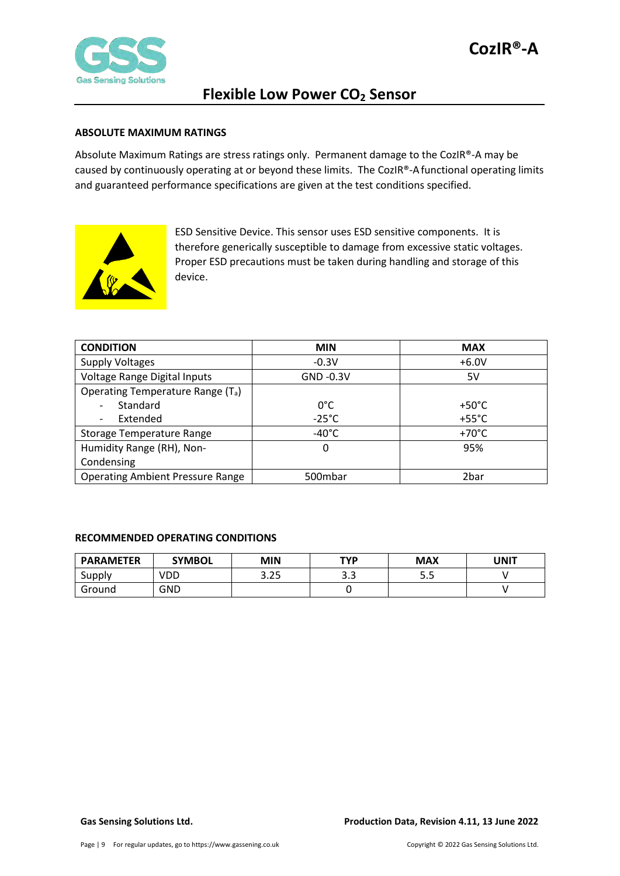

#### <span id="page-8-0"></span>**ABSOLUTE MAXIMUM RATINGS**

Absolute Maximum Ratings are stress ratings only. Permanent damage to the CozIR®-A may be caused by continuously operating at or beyond these limits. The CozIR®-Afunctional operating limits and guaranteed performance specifications are given at the test conditions specified.



ESD Sensitive Device. This sensor uses ESD sensitive components. It is therefore generically susceptible to damage from excessive static voltages. Proper ESD precautions must be taken during handling and storage of this device.

| <b>CONDITION</b>                              | <b>MIN</b>      | <b>MAX</b>      |
|-----------------------------------------------|-----------------|-----------------|
| <b>Supply Voltages</b>                        | $-0.3V$         | $+6.0V$         |
| Voltage Range Digital Inputs                  | $GND -0.3V$     | 5V              |
| Operating Temperature Range (T <sub>a</sub> ) |                 |                 |
| Standard                                      | $0^{\circ}$ C   | $+50^{\circ}$ C |
| Extended                                      | $-25^{\circ}$ C | $+55^{\circ}$ C |
| Storage Temperature Range                     | $-40^{\circ}$ C | $+70^{\circ}$ C |
| Humidity Range (RH), Non-                     | 0               | 95%             |
| Condensing                                    |                 |                 |
| <b>Operating Ambient Pressure Range</b>       | 500mbar         | 2bar            |

#### <span id="page-8-1"></span>**RECOMMENDED OPERATING CONDITIONS**

| <b>PARAMETER</b> | <b>SYMBOL</b> | MIN  | TYP      | <b>MAX</b> | UNIT |
|------------------|---------------|------|----------|------------|------|
| Supply           | VDD           | 3.25 | ົ<br>ں.ر | ر.ر        |      |
| Ground           | GND           |      |          |            |      |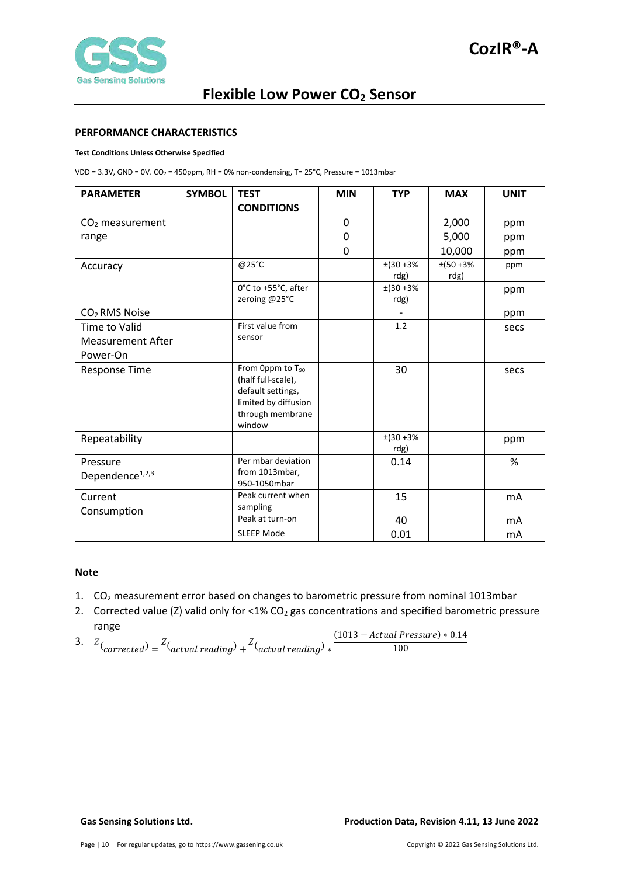#### <span id="page-9-0"></span>**PERFORMANCE CHARACTERISTICS**

#### **Test Conditions Unless Otherwise Specified**

VDD = 3.3V, GND = 0V. CO<sub>2</sub> = 450ppm, RH = 0% non-condensing, T= 25°C, Pressure = 1013mbar

| <b>PARAMETER</b>                                      | <b>SYMBOL</b> | <b>TEST</b><br><b>CONDITIONS</b>                                                                                              | <b>MIN</b>     | <b>TYP</b>        | <b>MAX</b>        | <b>UNIT</b> |
|-------------------------------------------------------|---------------|-------------------------------------------------------------------------------------------------------------------------------|----------------|-------------------|-------------------|-------------|
| $CO2$ measurement                                     |               |                                                                                                                               | 0              |                   | 2,000             | ppm         |
| range                                                 |               |                                                                                                                               | $\overline{0}$ |                   | 5,000             | ppm         |
|                                                       |               |                                                                                                                               | $\Omega$       |                   | 10,000            | ppm         |
| Accuracy                                              |               | @25°C                                                                                                                         |                | $±(30+3%$<br>rdg) | $±(50+3%$<br>rdg) | ppm         |
|                                                       |               | 0°C to +55°C, after<br>zeroing @25°C                                                                                          |                | $±(30+3%$<br>rdg) |                   | ppm         |
| CO <sub>2</sub> RMS Noise                             |               |                                                                                                                               |                |                   |                   | ppm         |
| Time to Valid<br><b>Measurement After</b><br>Power-On |               | First value from<br>sensor                                                                                                    |                | 1.2               |                   | secs        |
| <b>Response Time</b>                                  |               | From 0ppm to T <sub>90</sub><br>(half full-scale),<br>default settings,<br>limited by diffusion<br>through membrane<br>window |                | 30                |                   | secs        |
| Repeatability                                         |               |                                                                                                                               |                | $±(30+3%$<br>rdg) |                   | ppm         |
| Pressure<br>Dependence <sup>1,2,3</sup>               |               | Per mbar deviation<br>from 1013mbar,<br>950-1050mbar                                                                          |                | 0.14              |                   | %           |
| Current<br>Consumption                                |               | Peak current when<br>sampling                                                                                                 |                | 15                |                   | mA          |
|                                                       |               | Peak at turn-on                                                                                                               |                | 40                |                   | mA          |
|                                                       |               | <b>SLEEP Mode</b>                                                                                                             |                | 0.01              |                   | mA          |

#### **Note**

- 1. CO2 measurement error based on changes to barometric pressure from nominal 1013mbar
- 2. Corrected value (Z) valid only for <1%  $CO<sub>2</sub>$  gas concentrations and specified barometric pressure
- range 3.  $Z\left(\text{corrected}\right) = \frac{Z\left(\text{actual reading}\right) + Z\left(\text{actual reading}\right) *$  $(1013 - Actual \, Pressure) * 0.14$ 100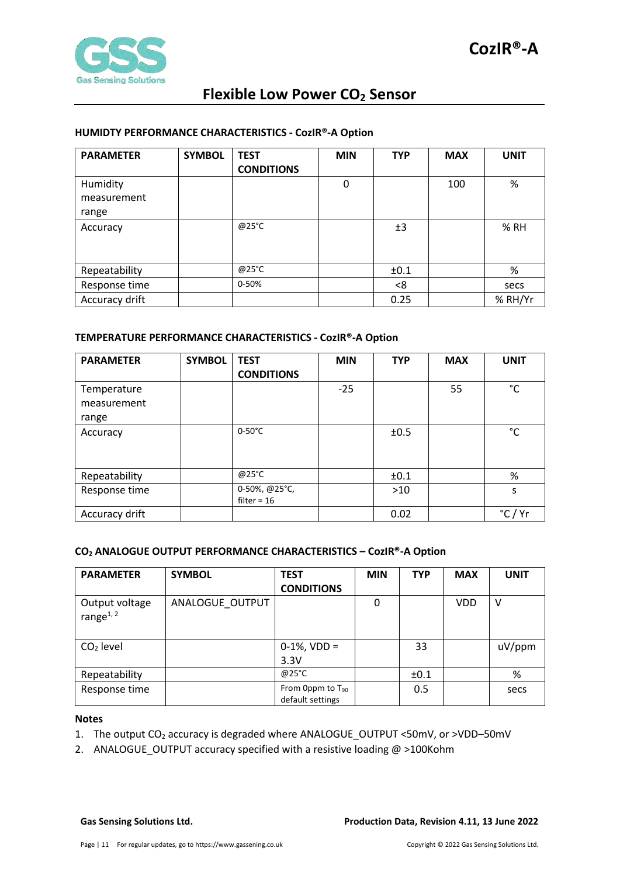

#### <span id="page-10-0"></span>**HUMIDTY PERFORMANCE CHARACTERISTICS - CozIR®-A Option**

| <b>PARAMETER</b>        | <b>SYMBOL</b> | <b>TEST</b><br><b>CONDITIONS</b> | <b>MIN</b> | <b>TYP</b> | <b>MAX</b> | <b>UNIT</b> |
|-------------------------|---------------|----------------------------------|------------|------------|------------|-------------|
| Humidity<br>measurement |               |                                  | 0          |            | 100        | %           |
| range                   |               |                                  |            |            |            |             |
| Accuracy                |               | @25°C                            |            | ±3         |            | % RH        |
| Repeatability           |               | @25°C                            |            | ±0.1       |            | %           |
| Response time           |               | 0-50%                            |            | <8         |            | secs        |
| Accuracy drift          |               |                                  |            | 0.25       |            | % RH/Yr     |

#### <span id="page-10-1"></span>**TEMPERATURE PERFORMANCE CHARACTERISTICS - CozIR®-A Option**

| <b>PARAMETER</b> | <b>SYMBOL</b> | <b>TEST</b>       | <b>MIN</b> | <b>TYP</b> | <b>MAX</b> | <b>UNIT</b> |
|------------------|---------------|-------------------|------------|------------|------------|-------------|
|                  |               | <b>CONDITIONS</b> |            |            |            |             |
| Temperature      |               |                   | $-25$      |            | 55         | °C          |
| measurement      |               |                   |            |            |            |             |
| range            |               |                   |            |            |            |             |
| Accuracy         |               | $0-50^{\circ}$ C  |            | ±0.5       |            | °C          |
|                  |               |                   |            |            |            |             |
|                  |               |                   |            |            |            |             |
| Repeatability    |               | @25°C             |            | ±0.1       |            | %           |
| Response time    |               | 0-50%, @25°C,     |            | $>10$      |            | S           |
|                  |               | filter = $16$     |            |            |            |             |
| Accuracy drift   |               |                   |            | 0.02       |            | °C          |

#### <span id="page-10-2"></span>**CO2 ANALOGUE OUTPUT PERFORMANCE CHARACTERISTICS – CozIR®-A Option**

| <b>PARAMETER</b>               | <b>SYMBOL</b>   | <b>TEST</b><br><b>CONDITIONS</b>                 | <b>MIN</b> | <b>TYP</b> | <b>MAX</b> | <b>UNIT</b> |
|--------------------------------|-----------------|--------------------------------------------------|------------|------------|------------|-------------|
| Output voltage<br>range $1, 2$ | ANALOGUE OUTPUT |                                                  | 0          |            | VDD        | v           |
| $CO2$ level                    |                 | $0-1\%$ , VDD =                                  |            | 33         |            | uV/ppm      |
|                                |                 | 3.3V                                             |            |            |            |             |
| Repeatability                  |                 | @25°C                                            |            | ±0.1       |            | %           |
| Response time                  |                 | From Oppm to T <sub>90</sub><br>default settings |            | 0.5        |            | secs        |

#### **Notes**

- 1. The output CO<sub>2</sub> accuracy is degraded where ANALOGUE OUTPUT <50mV, or >VDD-50mV
- 2. ANALOGUE\_OUTPUT accuracy specified with a resistive loading @ >100Kohm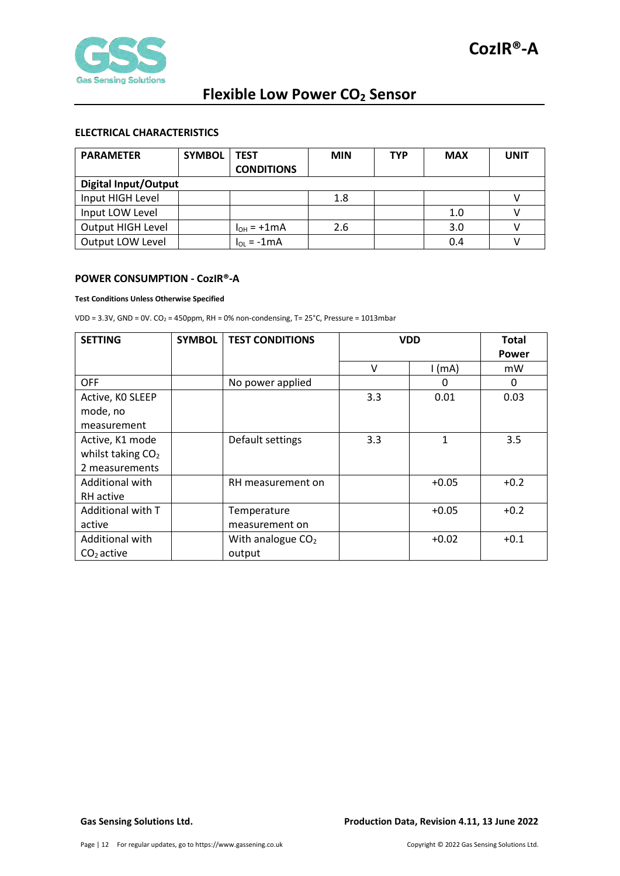

### <span id="page-11-0"></span>**ELECTRICAL CHARACTERISTICS**

| <b>PARAMETER</b>  | <b>SYMBOL</b>               | <b>TEST</b>       | <b>MIN</b> | <b>TYP</b> | <b>MAX</b> | UNIT |  |  |
|-------------------|-----------------------------|-------------------|------------|------------|------------|------|--|--|
|                   |                             | <b>CONDITIONS</b> |            |            |            |      |  |  |
|                   | <b>Digital Input/Output</b> |                   |            |            |            |      |  |  |
| Input HIGH Level  |                             |                   | 1.8        |            |            |      |  |  |
| Input LOW Level   |                             |                   |            |            | 1.0        |      |  |  |
| Output HIGH Level |                             | $I_{OH}$ = +1mA   | 2.6        |            | 3.0        |      |  |  |
| Output LOW Level  |                             | $I_{OL} = -1mA$   |            |            | 0.4        |      |  |  |

#### <span id="page-11-1"></span>**POWER CONSUMPTION - CozIR®-A**

#### **Test Conditions Unless Otherwise Specified**

VDD =  $3.3V$ , GND =  $0V$ . CO<sub>2</sub> = 450ppm, RH = 0% non-condensing, T=  $25^{\circ}$ C, Pressure = 1013mbar

| <b>SETTING</b>      | <b>SYMBOL</b> | <b>TEST CONDITIONS</b> |     | <b>VDD</b>   | <b>Total</b> |
|---------------------|---------------|------------------------|-----|--------------|--------------|
|                     |               |                        |     |              | Power        |
|                     |               |                        | v   | $1$ (mA)     | mW           |
| <b>OFF</b>          |               | No power applied       |     | 0            | 0            |
| Active, KO SLEEP    |               |                        | 3.3 | 0.01         | 0.03         |
| mode, no            |               |                        |     |              |              |
| measurement         |               |                        |     |              |              |
| Active, K1 mode     |               | Default settings       | 3.3 | $\mathbf{1}$ | 3.5          |
| whilst taking $CO2$ |               |                        |     |              |              |
| 2 measurements      |               |                        |     |              |              |
| Additional with     |               | RH measurement on      |     | $+0.05$      | $+0.2$       |
| RH active           |               |                        |     |              |              |
| Additional with T   |               | Temperature            |     | $+0.05$      | $+0.2$       |
| active              |               | measurement on         |     |              |              |
| Additional with     |               | With analogue $CO2$    |     | $+0.02$      | $+0.1$       |
| $CO2$ active        |               | output                 |     |              |              |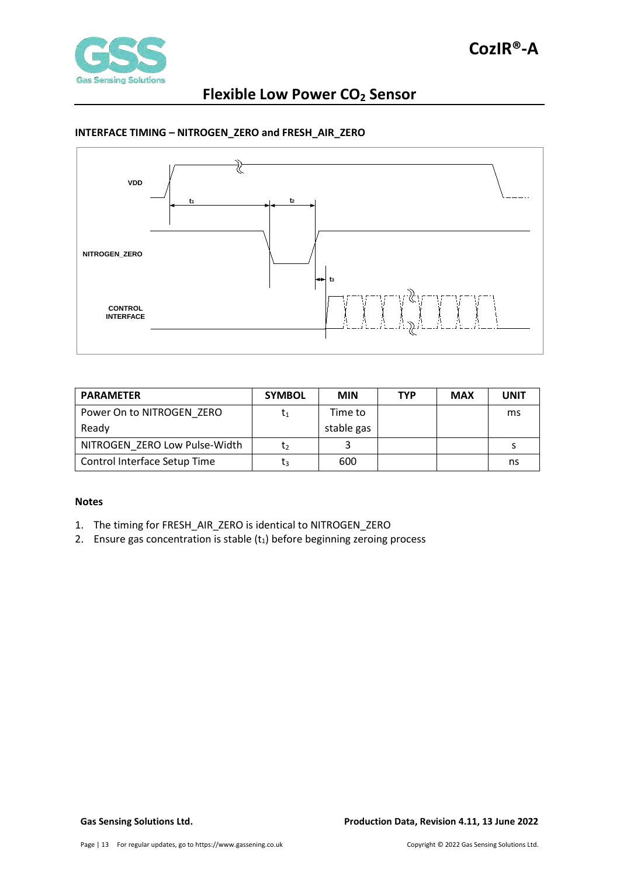

### <span id="page-12-0"></span>**INTERFACE TIMING – NITROGEN\_ZERO and FRESH\_AIR\_ZERO**



| <b>PARAMETER</b>              | <b>SYMBOL</b> | <b>MIN</b> | <b>TYP</b> | <b>MAX</b> | <b>UNIT</b> |
|-------------------------------|---------------|------------|------------|------------|-------------|
| Power On to NITROGEN ZERO     | T1            | Time to    |            |            | ms          |
| Ready                         |               | stable gas |            |            |             |
| NITROGEN ZERO Low Pulse-Width | Ţ٥            |            |            |            |             |
| Control Interface Setup Time  | ŢЗ            | 600        |            |            | ns          |

#### **Notes**

- 1. The timing for FRESH\_AIR\_ZERO is identical to NITROGEN\_ZERO
- 2. Ensure gas concentration is stable  $(t_1)$  before beginning zeroing process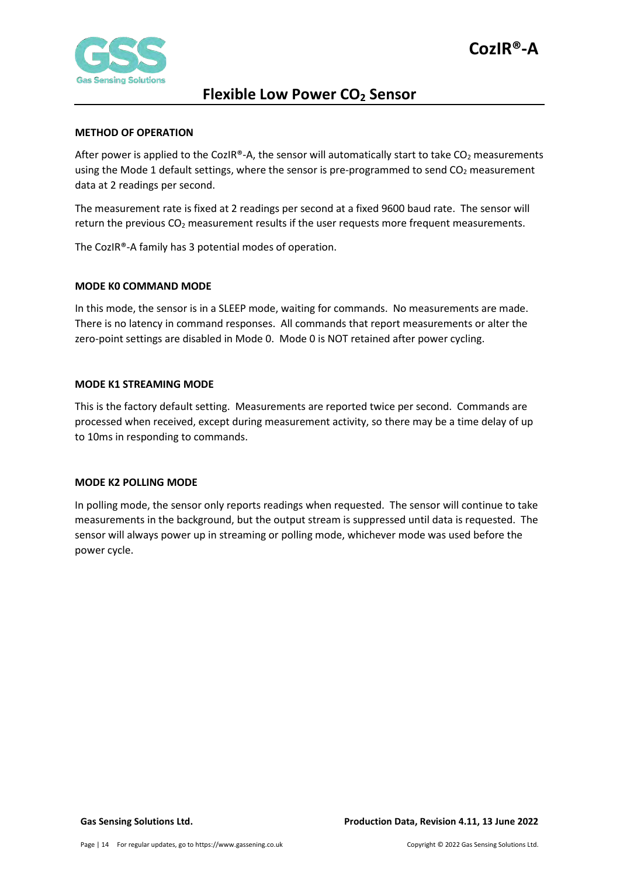

#### <span id="page-13-0"></span>**METHOD OF OPERATION**

After power is applied to the CozIR®-A, the sensor will automatically start to take  $CO<sub>2</sub>$  measurements using the Mode 1 default settings, where the sensor is pre-programmed to send  $CO<sub>2</sub>$  measurement data at 2 readings per second.

The measurement rate is fixed at 2 readings per second at a fixed 9600 baud rate. The sensor will return the previous  $CO<sub>2</sub>$  measurement results if the user requests more frequent measurements.

The CozIR®-A family has 3 potential modes of operation.

#### <span id="page-13-1"></span>**MODE K0 COMMAND MODE**

In this mode, the sensor is in a SLEEP mode, waiting for commands. No measurements are made. There is no latency in command responses. All commands that report measurements or alter the zero-point settings are disabled in Mode 0. Mode 0 is NOT retained after power cycling.

#### <span id="page-13-2"></span>**MODE K1 STREAMING MODE**

This is the factory default setting. Measurements are reported twice per second. Commands are processed when received, except during measurement activity, so there may be a time delay of up to 10ms in responding to commands.

#### <span id="page-13-3"></span>**MODE K2 POLLING MODE**

In polling mode, the sensor only reports readings when requested. The sensor will continue to take measurements in the background, but the output stream is suppressed until data is requested. The sensor will always power up in streaming or polling mode, whichever mode was used before the power cycle.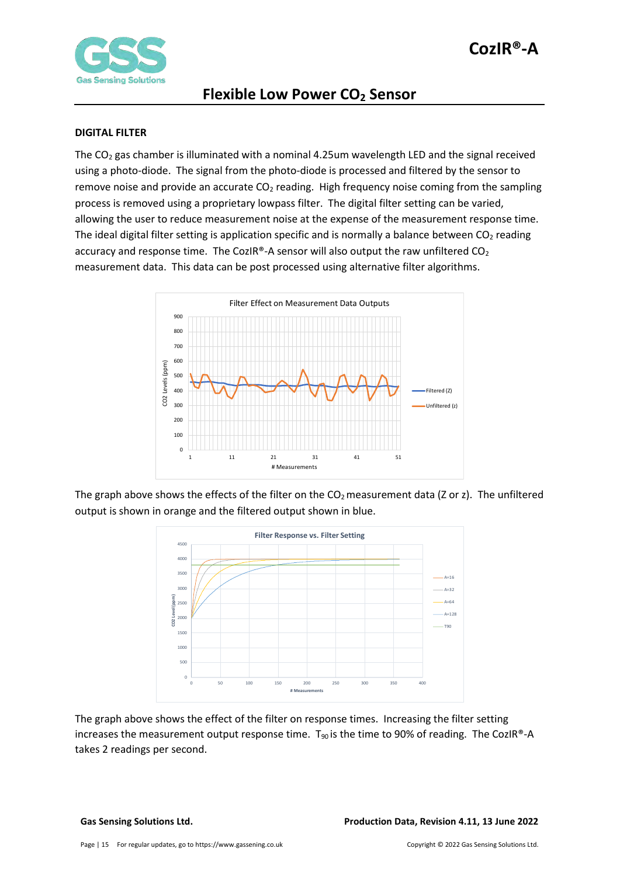

### <span id="page-14-0"></span>**DIGITAL FILTER**

The  $CO<sub>2</sub>$  gas chamber is illuminated with a nominal 4.25um wavelength LED and the signal received using a photo-diode. The signal from the photo-diode is processed and filtered by the sensor to remove noise and provide an accurate  $CO<sub>2</sub>$  reading. High frequency noise coming from the sampling process is removed using a proprietary lowpass filter. The digital filter setting can be varied, allowing the user to reduce measurement noise at the expense of the measurement response time. The ideal digital filter setting is application specific and is normally a balance between  $CO<sub>2</sub>$  reading accuracy and response time. The CozIR®-A sensor will also output the raw unfiltered  $CO<sub>2</sub>$ measurement data. This data can be post processed using alternative filter algorithms.



The graph above shows the effects of the filter on the  $CO<sub>2</sub>$  measurement data (Z or z). The unfiltered output is shown in orange and the filtered output shown in blue.



The graph above shows the effect of the filter on response times. Increasing the filter setting increases the measurement output response time.  $T_{90}$  is the time to 90% of reading. The CozIR®-A takes 2 readings per second.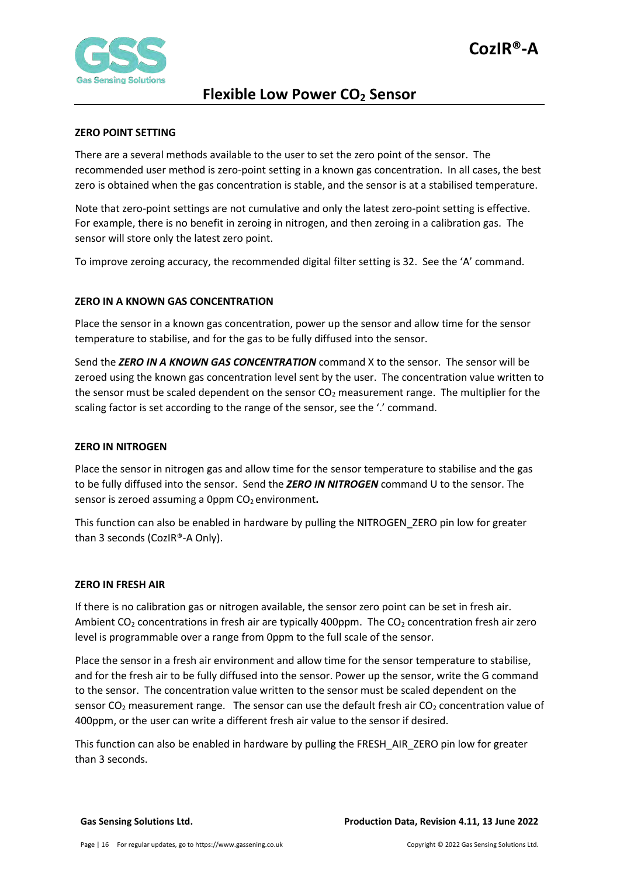

#### <span id="page-15-0"></span>**ZERO POINT SETTING**

There are a several methods available to the user to set the zero point of the sensor. The recommended user method is zero-point setting in a known gas concentration. In all cases, the best zero is obtained when the gas concentration is stable, and the sensor is at a stabilised temperature.

Note that zero-point settings are not cumulative and only the latest zero-point setting is effective. For example, there is no benefit in zeroing in nitrogen, and then zeroing in a calibration gas. The sensor will store only the latest zero point.

To improve zeroing accuracy, the recommended digital filter setting is 32. See the 'A' command.

#### <span id="page-15-1"></span>**ZERO IN A KNOWN GAS CONCENTRATION**

Place the sensor in a known gas concentration, power up the sensor and allow time for the sensor temperature to stabilise, and for the gas to be fully diffused into the sensor.

Send the *ZERO IN A KNOWN GAS CONCENTRATION* command X to the sensor. The sensor will be zeroed using the known gas concentration level sent by the user. The concentration value written to the sensor must be scaled dependent on the sensor  $CO<sub>2</sub>$  measurement range. The multiplier for the scaling factor is set according to the range of the sensor, see the '.' command.

#### <span id="page-15-2"></span>**ZERO IN NITROGEN**

Place the sensor in nitrogen gas and allow time for the sensor temperature to stabilise and the gas to be fully diffused into the sensor. Send the *ZERO IN NITROGEN* command U to the sensor. The sensor is zeroed assuming a 0ppm CO<sub>2</sub> environment.

This function can also be enabled in hardware by pulling the NITROGEN\_ZERO pin low for greater than 3 seconds (CozIR®-A Only).

#### <span id="page-15-3"></span>**ZERO IN FRESH AIR**

If there is no calibration gas or nitrogen available, the sensor zero point can be set in fresh air. Ambient  $CO<sub>2</sub>$  concentrations in fresh air are typically 400ppm. The  $CO<sub>2</sub>$  concentration fresh air zero level is programmable over a range from 0ppm to the full scale of the sensor.

Place the sensor in a fresh air environment and allow time for the sensor temperature to stabilise, and for the fresh air to be fully diffused into the sensor. Power up the sensor, write the G command to the sensor. The concentration value written to the sensor must be scaled dependent on the sensor  $CO<sub>2</sub>$  measurement range. The sensor can use the default fresh air  $CO<sub>2</sub>$  concentration value of 400ppm, or the user can write a different fresh air value to the sensor if desired.

This function can also be enabled in hardware by pulling the FRESH\_AIR\_ZERO pin low for greater than 3 seconds.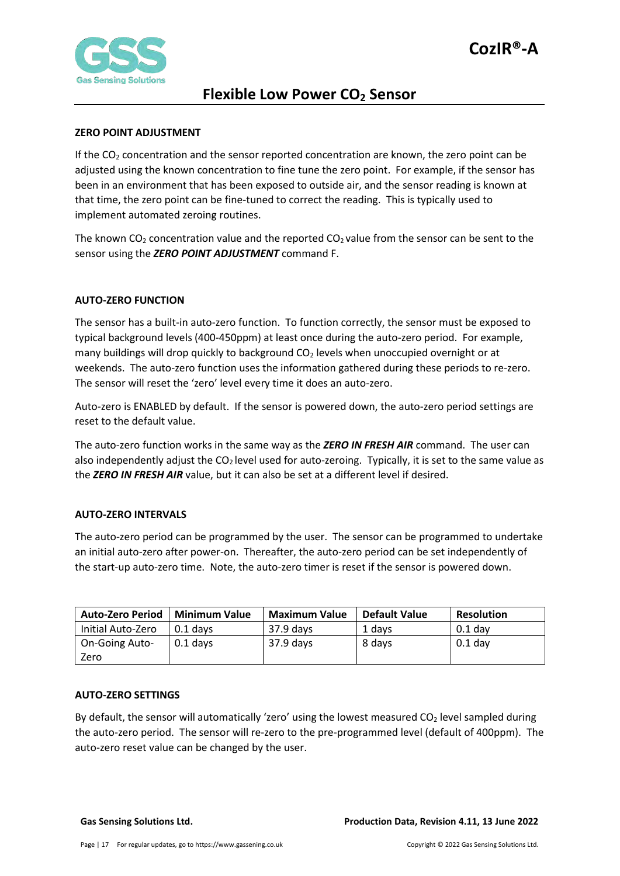

### <span id="page-16-0"></span>**ZERO POINT ADJUSTMENT**

If the  $CO<sub>2</sub>$  concentration and the sensor reported concentration are known, the zero point can be adjusted using the known concentration to fine tune the zero point. For example, if the sensor has been in an environment that has been exposed to outside air, and the sensor reading is known at that time, the zero point can be fine-tuned to correct the reading. This is typically used to implement automated zeroing routines.

The known CO<sub>2</sub> concentration value and the reported CO<sub>2</sub> value from the sensor can be sent to the sensor using the *ZERO POINT ADJUSTMENT* command F.

#### <span id="page-16-1"></span>**AUTO-ZERO FUNCTION**

The sensor has a built-in auto-zero function. To function correctly, the sensor must be exposed to typical background levels (400-450ppm) at least once during the auto-zero period. For example, many buildings will drop quickly to background  $CO<sub>2</sub>$  levels when unoccupied overnight or at weekends. The auto-zero function uses the information gathered during these periods to re-zero. The sensor will reset the 'zero' level every time it does an auto-zero.

Auto-zero is ENABLED by default. If the sensor is powered down, the auto-zero period settings are reset to the default value.

The auto-zero function works in the same way as the *ZERO IN FRESH AIR* command. The user can also independently adjust the  $CO<sub>2</sub>$  level used for auto-zeroing. Typically, it is set to the same value as the *ZERO IN FRESH AIR* value, but it can also be set at a different level if desired.

#### <span id="page-16-2"></span>**AUTO-ZERO INTERVALS**

The auto-zero period can be programmed by the user. The sensor can be programmed to undertake an initial auto-zero after power-on. Thereafter, the auto-zero period can be set independently of the start-up auto-zero time. Note, the auto-zero timer is reset if the sensor is powered down.

| <b>Auto-Zero Period</b> | <b>Minimum Value</b> | <b>Maximum Value</b> | <b>Default Value</b> | <b>Resolution</b> |
|-------------------------|----------------------|----------------------|----------------------|-------------------|
| Initial Auto-Zero       | $0.1$ davs           | $37.9$ days          | 1 days               | $0.1$ day         |
| <b>On-Going Auto-</b>   | $0.1$ days           | $37.9$ days          | 8 days               | $0.1$ day         |
| Zero                    |                      |                      |                      |                   |

#### <span id="page-16-3"></span>**AUTO-ZERO SETTINGS**

By default, the sensor will automatically 'zero' using the lowest measured  $CO<sub>2</sub>$  level sampled during the auto-zero period. The sensor will re-zero to the pre-programmed level (default of 400ppm). The auto-zero reset value can be changed by the user.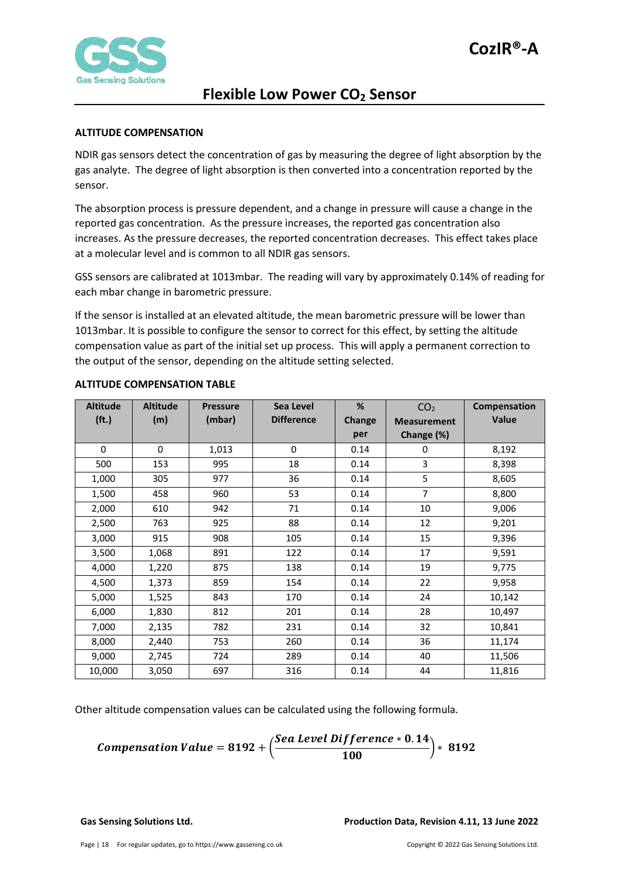

### <span id="page-17-0"></span>**ALTITUDE COMPENSATION**

NDIR gas sensors detect the concentration of gas by measuring the degree of light absorption by the gas analyte. The degree of light absorption is then converted into a concentration reported by the sensor.

The absorption process is pressure dependent, and a change in pressure will cause a change in the reported gas concentration. As the pressure increases, the reported gas concentration also increases. As the pressure decreases, the reported concentration decreases. This effect takes place at a molecular level and is common to all NDIR gas sensors.

GSS sensors are calibrated at 1013mbar. The reading will vary by approximately 0.14% of reading for each mbar change in barometric pressure.

If the sensor is installed at an elevated altitude, the mean barometric pressure will be lower than 1013mbar. It is possible to configure the sensor to correct for this effect, by setting the altitude compensation value as part of the initial set up process. This will apply a permanent correction to the output of the sensor, depending on the altitude setting selected.

| <b>Altitude</b>   | <b>Altitude</b> | <b>Pressure</b> | Sea Level         | %      | CO <sub>2</sub>    | Compensation |
|-------------------|-----------------|-----------------|-------------------|--------|--------------------|--------------|
| (f <sub>t</sub> ) | (m)             | (mbar)          | <b>Difference</b> | Change | <b>Measurement</b> | <b>Value</b> |
|                   |                 |                 |                   | per    | Change (%)         |              |
| $\mathbf{0}$      | 0               | 1,013           | 0                 | 0.14   | 0                  | 8,192        |
| 500               | 153             | 995             | 18                | 0.14   | 3                  | 8,398        |
| 1,000             | 305             | 977             | 36                | 0.14   | 5                  | 8,605        |
| 1,500             | 458             | 960             | 53                | 0.14   | $\overline{7}$     | 8,800        |
| 2,000             | 610             | 942             | 71                | 0.14   | 10                 | 9,006        |
| 2,500             | 763             | 925             | 88                | 0.14   | 12                 | 9,201        |
| 3,000             | 915             | 908             | 105               | 0.14   | 15                 | 9,396        |
| 3,500             | 1,068           | 891             | 122               | 0.14   | 17                 | 9,591        |
| 4,000             | 1,220           | 875             | 138               | 0.14   | 19                 | 9,775        |
| 4,500             | 1,373           | 859             | 154               | 0.14   | 22                 | 9,958        |
| 5,000             | 1,525           | 843             | 170               | 0.14   | 24                 | 10,142       |
| 6,000             | 1,830           | 812             | 201               | 0.14   | 28                 | 10,497       |
| 7,000             | 2,135           | 782             | 231               | 0.14   | 32                 | 10,841       |
| 8,000             | 2,440           | 753             | 260               | 0.14   | 36                 | 11,174       |
| 9,000             | 2,745           | 724             | 289               | 0.14   | 40                 | 11,506       |
| 10,000            | 3,050           | 697             | 316               | 0.14   | 44                 | 11,816       |

#### <span id="page-17-1"></span>**ALTITUDE COMPENSATION TABLE**

Other altitude compensation values can be calculated using the following formula.

**Comparison Value = 8192 +** 
$$
\left( \frac{
$$
 **See Level Difference** \* **0.14 0.192 3192**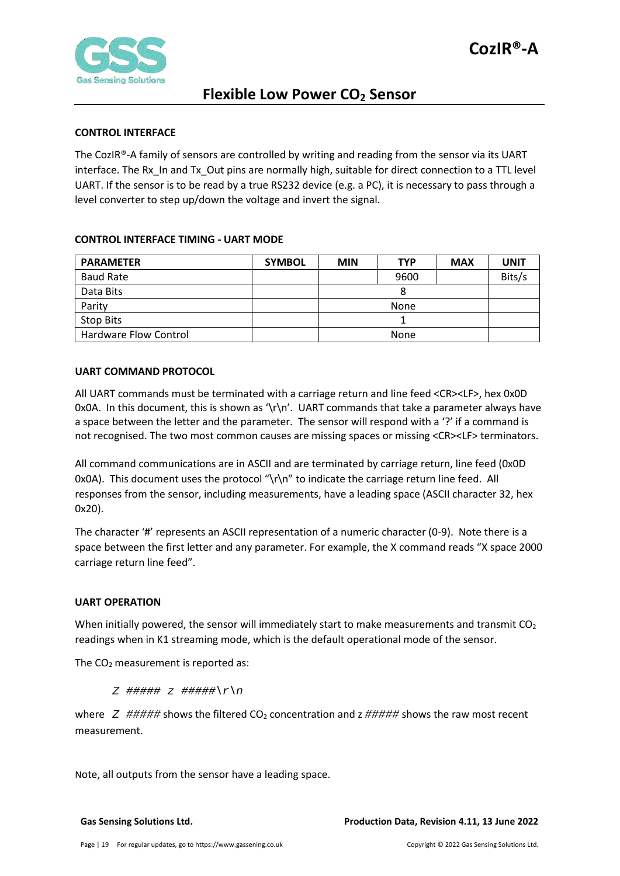

### <span id="page-18-0"></span>**CONTROL INTERFACE**

The CozIR®-A family of sensors are controlled by writing and reading from the sensor via its UART interface. The Rx\_In and Tx\_Out pins are normally high, suitable for direct connection to a TTL level UART. If the sensor is to be read by a true RS232 device (e.g. a PC), it is necessary to pass through a level converter to step up/down the voltage and invert the signal.

#### <span id="page-18-1"></span>**CONTROL INTERFACE TIMING - UART MODE**

| <b>PARAMETER</b>      | <b>SYMBOL</b> | <b>MIN</b> | <b>TYP</b> | <b>MAX</b> | <b>UNIT</b> |
|-----------------------|---------------|------------|------------|------------|-------------|
| <b>Baud Rate</b>      |               |            | 9600       |            | Bits/s      |
| Data Bits             |               | Ω          |            |            |             |
| Parity                |               | None       |            |            |             |
| <b>Stop Bits</b>      |               |            |            |            |             |
| Hardware Flow Control |               | None       |            |            |             |

#### <span id="page-18-2"></span>**UART COMMAND PROTOCOL**

All UART commands must be terminated with a carriage return and line feed <CR><LF>, hex 0x0D 0x0A. In this document, this is shown as  $\frac{\nu}{\lambda}$ . UART commands that take a parameter always have a space between the letter and the parameter. The sensor will respond with a '?' if a command is not recognised. The two most common causes are missing spaces or missing <CR><LF> terminators.

All command communications are in ASCII and are terminated by carriage return, line feed (0x0D 0x0A). This document uses the protocol " $\gamma \$ to indicate the carriage return line feed. All responses from the sensor, including measurements, have a leading space (ASCII character 32, hex 0x20).

The character '#' represents an ASCII representation of a numeric character (0-9). Note there is a space between the first letter and any parameter. For example, the X command reads "X space 2000 carriage return line feed".

### <span id="page-18-3"></span>**UART OPERATION**

When initially powered, the sensor will immediately start to make measurements and transmit  $CO<sub>2</sub>$ readings when in K1 streaming mode, which is the default operational mode of the sensor.

The  $CO<sub>2</sub>$  measurement is reported as:

*Z ##### z #####\r\n*

where  $Z$  ##### shows the filtered  $CO_2$  concentration and  $z$  ##### shows the raw most recent measurement.

Note, all outputs from the sensor have a leading space.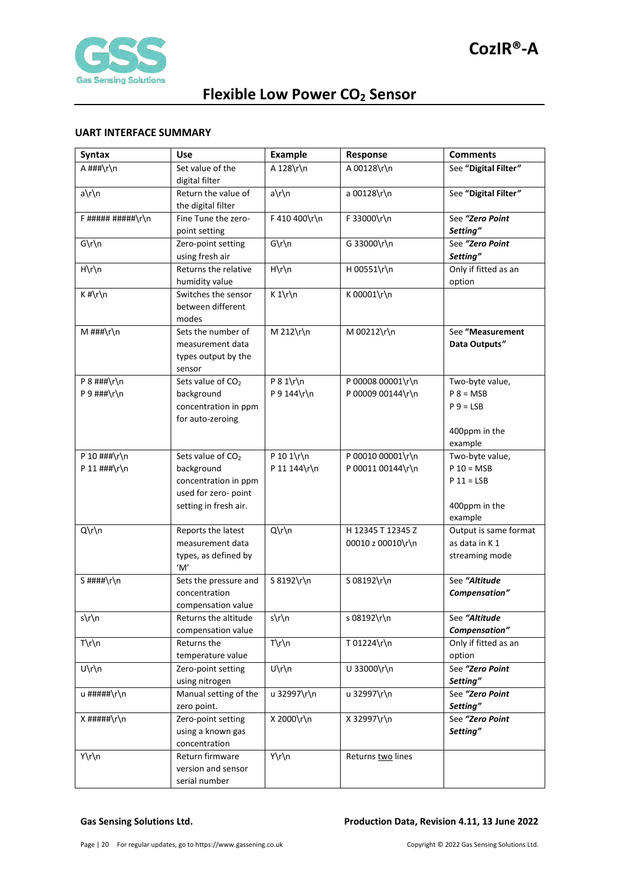

### <span id="page-19-0"></span>**UART INTERFACE SUMMARY**

| <b>Syntax</b>      | Use                                          | <b>Example</b>  | Response          | <b>Comments</b>                  |
|--------------------|----------------------------------------------|-----------------|-------------------|----------------------------------|
| A ###\r\n          | Set value of the                             | A 128\r\n       | A 00128\r\n       | See "Digital Filter"             |
|                    | digital filter                               |                 |                   |                                  |
| a\r\n              | Return the value of                          | $a\$ n          | a 00128\r\n       | See "Digital Filter"             |
|                    | the digital filter                           |                 |                   |                                  |
| $F$ ##########\r\n | Fine Tune the zero-                          | F 410 400\r\n   | F 33000\r\n       | See "Zero Point                  |
|                    | point setting                                |                 |                   | Setting"                         |
| $G\r\ln$           | Zero-point setting                           | $G\r\ln$        | G 33000\r\n       | See "Zero Point                  |
| $H\rrbraket{n}$    | using fresh air<br>Returns the relative      | $H\rrbraket{n}$ | H 00551\r\n       | Setting"<br>Only if fitted as an |
|                    | humidity value                               |                 |                   | option                           |
| $K$ #\r\n          | Switches the sensor                          | $K 1\r \n$      | K 00001\r\n       |                                  |
|                    | between different                            |                 |                   |                                  |
|                    | modes                                        |                 |                   |                                  |
| M ###\r\n          | Sets the number of                           | M 212\r\n       | M 00212\r\n       | See "Measurement                 |
|                    | measurement data                             |                 |                   | Data Outputs"                    |
|                    | types output by the                          |                 |                   |                                  |
|                    | sensor                                       |                 |                   |                                  |
| $P$ 8 ###\r\n      | Sets value of CO <sub>2</sub>                | $P 8 1\$        | P 00008 00001\r\n | Two-byte value,                  |
| P 9 ###\r\n        | background                                   | P 9 144\r\n     | P 00009 00144\r\n | $P 8 = MSB$                      |
|                    | concentration in ppm                         |                 |                   | $P 9 = LSB$                      |
|                    | for auto-zeroing                             |                 |                   |                                  |
|                    |                                              |                 |                   | 400ppm in the                    |
|                    |                                              |                 |                   | example                          |
| P 10 ###\r\n       | Sets value of CO <sub>2</sub>                | P 10 1\r\n      | P 00010 00001\r\n | Two-byte value,                  |
| P 11 $\#$ ##\r\n   | background                                   | P 11 144\r\n    | P 00011 00144\r\n | $P 10 = MSB$<br>$P 11 = LSB$     |
|                    | concentration in ppm<br>used for zero- point |                 |                   |                                  |
|                    | setting in fresh air.                        |                 |                   | 400ppm in the                    |
|                    |                                              |                 |                   | example                          |
| Q\r\n              | Reports the latest                           | $Q\Gamma\$      | H 12345 T 12345 Z | Output is same format            |
|                    | measurement data                             |                 | 00010 z 00010\r\n | as data in K 1                   |
|                    | types, as defined by                         |                 |                   | streaming mode                   |
|                    | 'M'                                          |                 |                   |                                  |
| S ####\r\n         | Sets the pressure and                        | S 8192\r\n      | S 08192\r\n       | See "Altitude                    |
|                    | concentration                                |                 |                   | Compensation"                    |
|                    | compensation value                           |                 |                   |                                  |
| s\r\n              | Returns the altitude                         | s\r\n           | s 08192\r\n       | See "Altitude                    |
|                    | compensation value                           |                 |                   | Compensation"                    |
| $T\rrbraket{r}$    | Returns the                                  | $T\rrbraket{n}$ | T 01224\r\n       | Only if fitted as an             |
|                    | temperature value                            |                 |                   | option                           |
| U\r\n              | Zero-point setting                           | U\r\n           | U 33000\r\n       | See "Zero Point                  |
| u #####\r\n        | using nitrogen<br>Manual setting of the      | u 32997\r\n     | u 32997\r\n       | Setting"<br>See "Zero Point      |
|                    | zero point.                                  |                 |                   | Setting"                         |
| $X$ #####\r\n      | Zero-point setting                           | X 2000\r\n      | X 32997\r\n       | See "Zero Point                  |
|                    | using a known gas                            |                 |                   | Setting"                         |
|                    | concentration                                |                 |                   |                                  |
| Y\r\n              | Return firmware                              | Y\r\n           | Returns two lines |                                  |
|                    | version and sensor                           |                 |                   |                                  |
|                    | serial number                                |                 |                   |                                  |

#### **Gas Sensing Solutions Ltd. Production Data, Revision 4.11, 13 June 2022**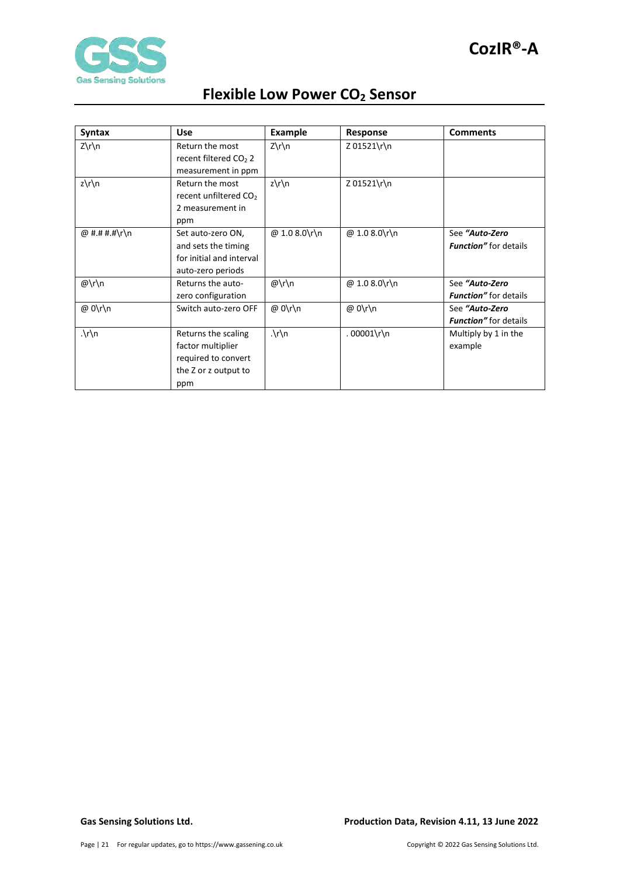

| <b>Syntax</b> | <b>Use</b>                        | <b>Example</b> | Response      | <b>Comments</b>               |
|---------------|-----------------------------------|----------------|---------------|-------------------------------|
| Z\r\n         | Return the most                   | $Z\rrn$        | Z 01521\r\n   |                               |
|               | recent filtered CO <sub>2</sub> 2 |                |               |                               |
|               | measurement in ppm                |                |               |                               |
| $z\$ n        | Return the most                   | $z\$ n         | Z 01521\r\n   |                               |
|               | recent unfiltered CO <sub>2</sub> |                |               |                               |
|               | 2 measurement in                  |                |               |                               |
|               | ppm                               |                |               |                               |
| @ #.# #.#\r\n | Set auto-zero ON,                 | @ 1.0 8.0\r\n  | @ 1.0 8.0\r\n | See "Auto-Zero                |
|               | and sets the timing               |                |               | <b>Function</b> " for details |
|               | for initial and interval          |                |               |                               |
|               | auto-zero periods                 |                |               |                               |
| @\r\n         | Returns the auto-                 | $@\r\ln$       | @ 1.0 8.0\r\n | See "Auto-Zero                |
|               | zero configuration                |                |               | Function" for details         |
| @ 0\r\n       | Switch auto-zero OFF              | @ 0\r\n        | @ 0\r\n       | See "Auto-Zero                |
|               |                                   |                |               | <b>Function</b> " for details |
| $\cdot \ln$   | Returns the scaling               | $\ln n$        | $.00001\$ n   | Multiply by 1 in the          |
|               | factor multiplier                 |                |               | example                       |
|               | required to convert               |                |               |                               |
|               | the Z or z output to              |                |               |                               |
|               | ppm                               |                |               |                               |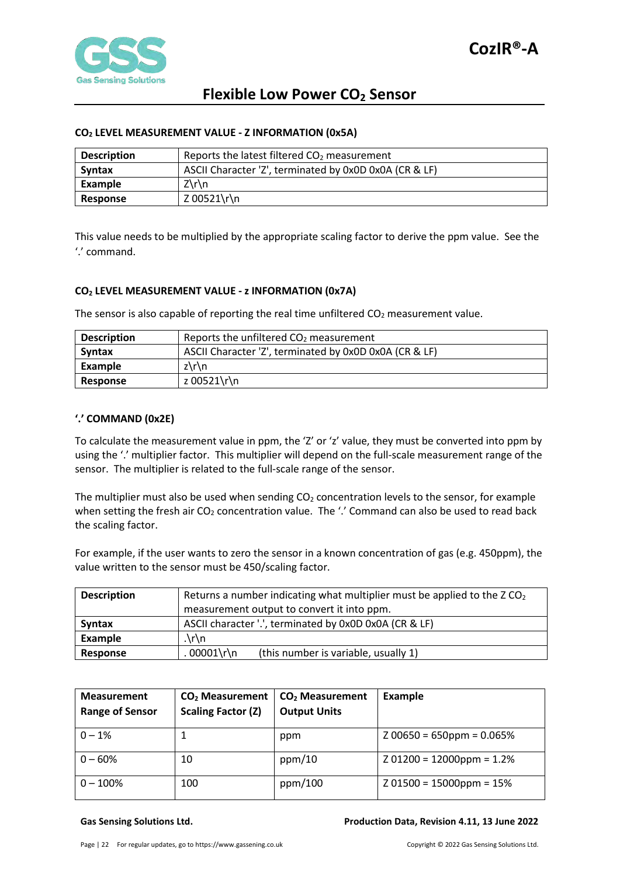

#### <span id="page-21-0"></span>**CO2 LEVEL MEASUREMENT VALUE - Z INFORMATION (0x5A)**

| <b>Description</b> | Reports the latest filtered CO <sub>2</sub> measurement |
|--------------------|---------------------------------------------------------|
| Syntax             | ASCII Character 'Z', terminated by 0x0D 0x0A (CR & LF)  |
| Example            | $Z\trth$ n                                              |
| Response           | Z 00521\r\n                                             |

This value needs to be multiplied by the appropriate scaling factor to derive the ppm value. See the '.' command.

#### <span id="page-21-1"></span>**CO2 LEVEL MEASUREMENT VALUE - z INFORMATION (0x7A)**

The sensor is also capable of reporting the real time unfiltered  $CO<sub>2</sub>$  measurement value.

| <b>Description</b> | Reports the unfiltered $CO2$ measurement               |  |  |  |  |
|--------------------|--------------------------------------------------------|--|--|--|--|
| Syntax             | ASCII Character 'Z', terminated by 0x0D 0x0A (CR & LF) |  |  |  |  |
| Example            | $z\$ \n\}n                                             |  |  |  |  |
| Response           | z 00521\r\n                                            |  |  |  |  |

#### <span id="page-21-2"></span>**'.' COMMAND (0x2E)**

To calculate the measurement value in ppm, the 'Z' or 'z' value, they must be converted into ppm by using the '.' multiplier factor. This multiplier will depend on the full-scale measurement range of the sensor. The multiplier is related to the full-scale range of the sensor.

The multiplier must also be used when sending  $CO<sub>2</sub>$  concentration levels to the sensor, for example when setting the fresh air  $CO<sub>2</sub>$  concentration value. The '.' Command can also be used to read back the scaling factor.

For example, if the user wants to zero the sensor in a known concentration of gas (e.g. 450ppm), the value written to the sensor must be 450/scaling factor.

| <b>Description</b> | Returns a number indicating what multiplier must be applied to the ZCO <sub>2</sub> |  |  |  |  |  |
|--------------------|-------------------------------------------------------------------------------------|--|--|--|--|--|
|                    | measurement output to convert it into ppm.                                          |  |  |  |  |  |
| Syntax             | ASCII character '.', terminated by 0x0D 0x0A (CR & LF)                              |  |  |  |  |  |
| Example            | $\cdot \cdot \cdot$                                                                 |  |  |  |  |  |
| <b>Response</b>    | .00001\r\n<br>(this number is variable, usually 1)                                  |  |  |  |  |  |

| <b>Measurement</b><br><b>Range of Sensor</b> | $CO2$ Measurement<br><b>Scaling Factor (Z)</b> | CO <sub>2</sub> Measurement<br><b>Output Units</b> | Example                     |
|----------------------------------------------|------------------------------------------------|----------------------------------------------------|-----------------------------|
| $0 - 1%$                                     | T                                              | ppm                                                | $200650 = 650$ ppm = 0.065% |
| $0 - 60%$                                    | 10                                             | ppm/10                                             | $201200 = 12000$ ppm = 1.2% |
| $0 - 100%$                                   | 100                                            | ppm/100                                            | $Z$ 01500 = 15000ppm = 15%  |

#### **Gas Sensing Solutions Ltd. Production Data, Revision 4.11, 13 June 2022**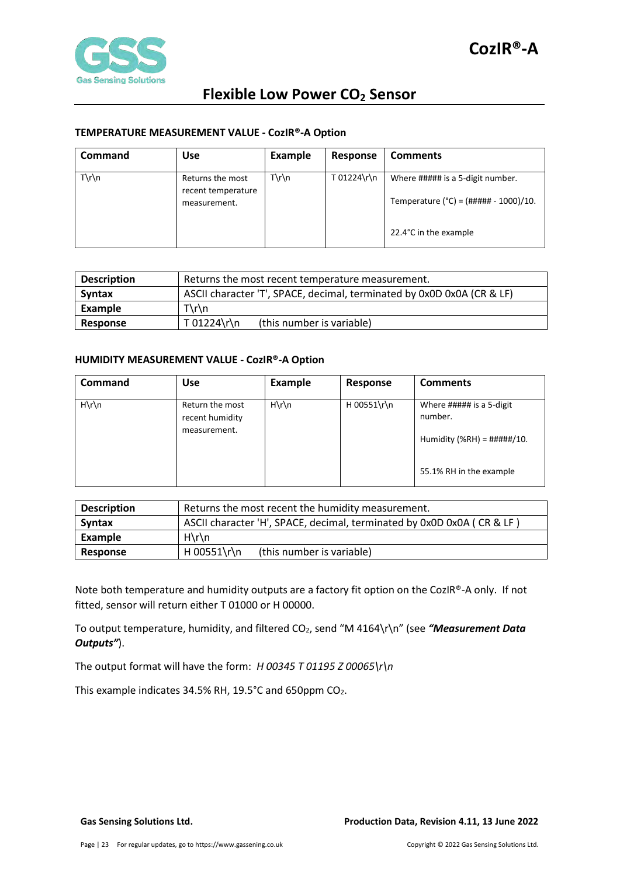

### <span id="page-22-0"></span>**TEMPERATURE MEASUREMENT VALUE - CozIR®-A Option**

| <b>Command</b>  | <b>Use</b>                                             | <b>Example</b>  | <b>Response</b> | <b>Comments</b>                                                                                                |
|-----------------|--------------------------------------------------------|-----------------|-----------------|----------------------------------------------------------------------------------------------------------------|
| $T\rrbraket{n}$ | Returns the most<br>recent temperature<br>measurement. | $T\rrbraket{n}$ | T 01224\r\n     | Where ##### is a 5-digit number.<br>Temperature (°C) = $(\# \# \# \# \# - 1000)/10$ .<br>22.4°C in the example |

| <b>Description</b> | Returns the most recent temperature measurement.                       |  |  |
|--------------------|------------------------------------------------------------------------|--|--|
| Syntax             | ASCII character 'T', SPACE, decimal, terminated by 0x0D 0x0A (CR & LF) |  |  |
| Example            | $T\rrbraket{n}$                                                        |  |  |
| Response           | T 01224\r\n<br>(this number is variable)                               |  |  |

#### <span id="page-22-1"></span>**HUMIDITY MEASUREMENT VALUE - CozIR®-A Option**

| <b>Command</b>  | <b>Use</b>                                         | <b>Example</b>  | Response    | <b>Comments</b>                                                                                         |
|-----------------|----------------------------------------------------|-----------------|-------------|---------------------------------------------------------------------------------------------------------|
| $H\rrbraket{n}$ | Return the most<br>recent humidity<br>measurement. | $H\rrbraket{n}$ | H 00551\r\n | Where ##### is a 5-digit<br>number.<br>Humidity (%RH) = $\# \# \# \# / 10$ .<br>55.1% RH in the example |

| <b>Description</b> | Returns the most recent the humidity measurement.                      |  |  |  |
|--------------------|------------------------------------------------------------------------|--|--|--|
| Syntax             | ASCII character 'H', SPACE, decimal, terminated by 0x0D 0x0A (CR & LF) |  |  |  |
| Example            | $H\rrbracket$ n                                                        |  |  |  |
| Response           | H 00551\r\n<br>(this number is variable)                               |  |  |  |

Note both temperature and humidity outputs are a factory fit option on the CozIR®-A only. If not fitted, sensor will return either T 01000 or H 00000.

To output temperature, humidity, and filtered CO2, send "M 4164\r\n" (see *"Measurement Data Outputs"*).

The output format will have the form: *H 00345 T 01195 Z 00065\r\n* 

This example indicates 34.5% RH, 19.5°C and 650ppm CO<sub>2</sub>.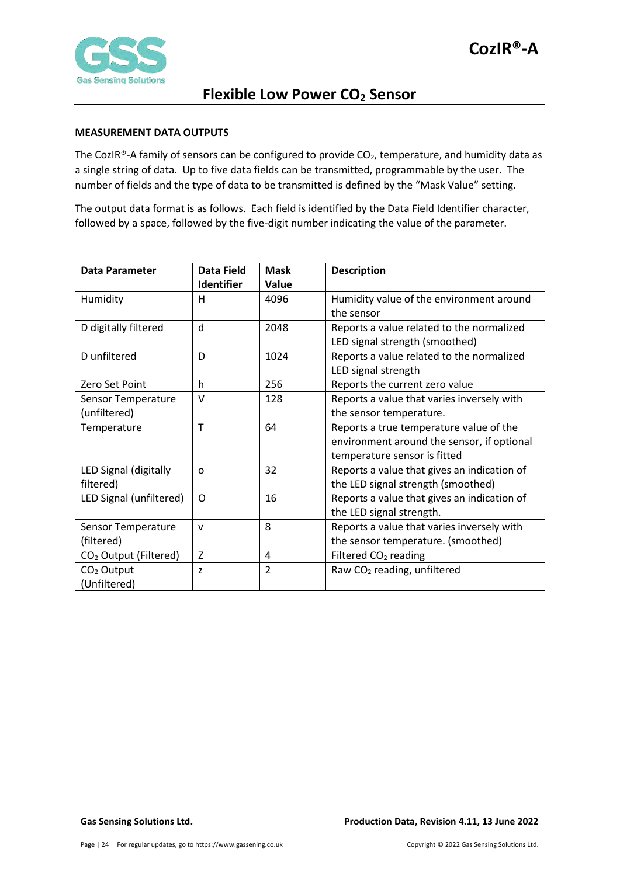

#### <span id="page-23-0"></span>**MEASUREMENT DATA OUTPUTS**

The CozIR®-A family of sensors can be configured to provide  $CO<sub>2</sub>$ , temperature, and humidity data as a single string of data. Up to five data fields can be transmitted, programmable by the user. The number of fields and the type of data to be transmitted is defined by the "Mask Value" setting.

The output data format is as follows. Each field is identified by the Data Field Identifier character, followed by a space, followed by the five-digit number indicating the value of the parameter.

| <b>Data Parameter</b>             | Data Field        | <b>Mask</b>    | <b>Description</b>                          |
|-----------------------------------|-------------------|----------------|---------------------------------------------|
|                                   | <b>Identifier</b> | Value          |                                             |
| Humidity                          | н                 | 4096           | Humidity value of the environment around    |
|                                   |                   |                | the sensor                                  |
| D digitally filtered              | d                 | 2048           | Reports a value related to the normalized   |
|                                   |                   |                | LED signal strength (smoothed)              |
| D unfiltered                      | D                 | 1024           | Reports a value related to the normalized   |
|                                   |                   |                | LED signal strength                         |
| Zero Set Point                    | h                 | 256            | Reports the current zero value              |
| Sensor Temperature                | v                 | 128            | Reports a value that varies inversely with  |
| (unfiltered)                      |                   |                | the sensor temperature.                     |
| Temperature                       | T                 | 64             | Reports a true temperature value of the     |
|                                   |                   |                | environment around the sensor, if optional  |
|                                   |                   |                | temperature sensor is fitted                |
| LED Signal (digitally             | O                 | 32             | Reports a value that gives an indication of |
| filtered)                         |                   |                | the LED signal strength (smoothed)          |
| LED Signal (unfiltered)           | O                 | 16             | Reports a value that gives an indication of |
|                                   |                   |                | the LED signal strength.                    |
| Sensor Temperature                | $\mathsf{v}$      | 8              | Reports a value that varies inversely with  |
| (filtered)                        |                   |                | the sensor temperature. (smoothed)          |
| CO <sub>2</sub> Output (Filtered) | Z                 | 4              | Filtered CO <sub>2</sub> reading            |
| CO <sub>2</sub> Output            | z                 | $\overline{2}$ | Raw CO <sub>2</sub> reading, unfiltered     |
| (Unfiltered)                      |                   |                |                                             |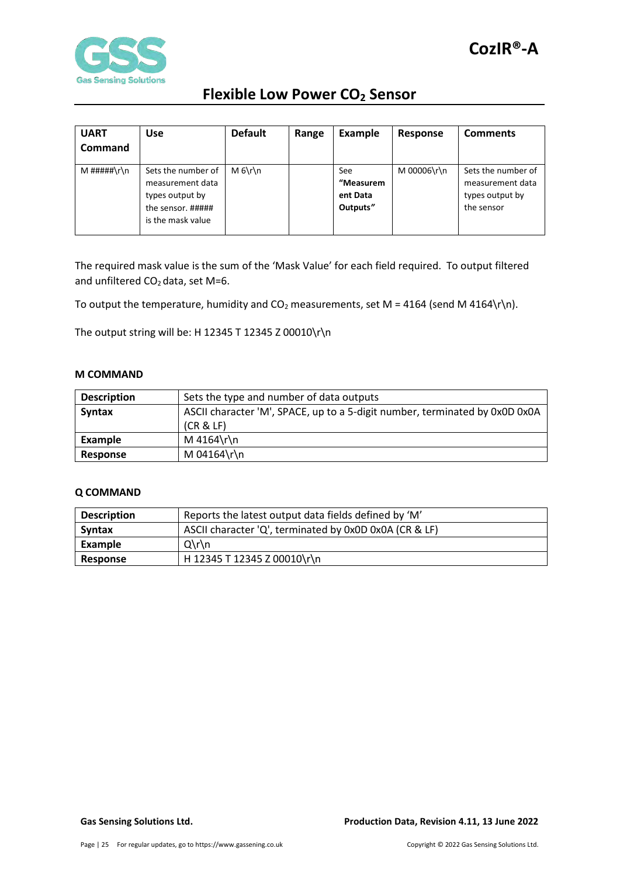



| <b>UART</b><br><b>Command</b> | <b>Use</b>                                                                                          | <b>Default</b> | Range | <b>Example</b>                           | Response    | <b>Comments</b>                                                         |
|-------------------------------|-----------------------------------------------------------------------------------------------------|----------------|-------|------------------------------------------|-------------|-------------------------------------------------------------------------|
| M #####\r\n                   | Sets the number of<br>measurement data<br>types output by<br>the sensor. #####<br>is the mask value | $M_6\$         |       | See<br>"Measurem<br>ent Data<br>Outputs" | M 00006\r\n | Sets the number of<br>measurement data<br>types output by<br>the sensor |

The required mask value is the sum of the 'Mask Value' for each field required. To output filtered and unfiltered  $CO<sub>2</sub>$  data, set M=6.

To output the temperature, humidity and  $CO<sub>2</sub>$  measurements, set M = 4164 (send M 4164\r\n).

The output string will be: H 12345 T 12345 Z 00010\r\n

#### <span id="page-24-0"></span>**M COMMAND**

| <b>Description</b> | Sets the type and number of data outputs                                    |
|--------------------|-----------------------------------------------------------------------------|
| <b>Syntax</b>      | ASCII character 'M', SPACE, up to a 5-digit number, terminated by 0x0D 0x0A |
|                    | (CR & E)                                                                    |
| Example            | M 4164\r\n                                                                  |
| Response           | M 04164\r\n                                                                 |

#### <span id="page-24-1"></span>**Q COMMAND**

| <b>Description</b> | Reports the latest output data fields defined by 'M'   |  |  |
|--------------------|--------------------------------------------------------|--|--|
| <b>Syntax</b>      | ASCII character 'Q', terminated by 0x0D 0x0A (CR & LF) |  |  |
| Example            | $Q\Gamma\$                                             |  |  |
| Response           | H 12345 T 12345 Z 00010\r\n                            |  |  |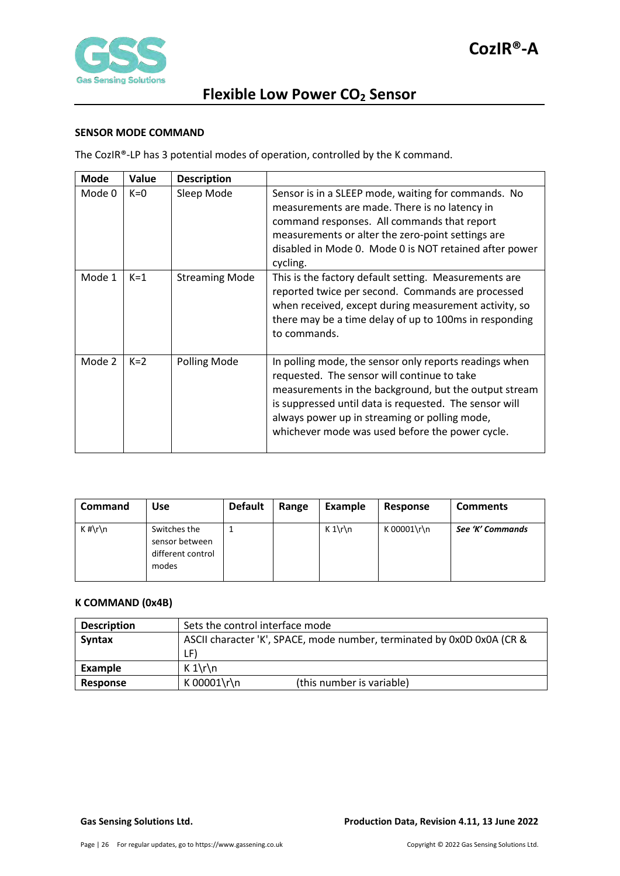

### <span id="page-25-0"></span>**SENSOR MODE COMMAND**

The CozIR®-LP has 3 potential modes of operation, controlled by the K command.

| <b>Mode</b> | Value | <b>Description</b>    |                                                                                                                                                                                                                                                                                                                              |
|-------------|-------|-----------------------|------------------------------------------------------------------------------------------------------------------------------------------------------------------------------------------------------------------------------------------------------------------------------------------------------------------------------|
| Mode 0      | $K=0$ | Sleep Mode            | Sensor is in a SLEEP mode, waiting for commands. No<br>measurements are made. There is no latency in<br>command responses. All commands that report<br>measurements or alter the zero-point settings are<br>disabled in Mode 0. Mode 0 is NOT retained after power<br>cycling.                                               |
| Mode 1      | $K=1$ | <b>Streaming Mode</b> | This is the factory default setting. Measurements are<br>reported twice per second. Commands are processed<br>when received, except during measurement activity, so<br>there may be a time delay of up to 100ms in responding<br>to commands.                                                                                |
| Mode 2      | $K=2$ | Polling Mode          | In polling mode, the sensor only reports readings when<br>requested. The sensor will continue to take<br>measurements in the background, but the output stream<br>is suppressed until data is requested. The sensor will<br>always power up in streaming or polling mode,<br>whichever mode was used before the power cycle. |

| <b>Command</b> | Use                                                          | <b>Default</b> | Range | Example | Response    | <b>Comments</b>  |
|----------------|--------------------------------------------------------------|----------------|-------|---------|-------------|------------------|
| $K \# \r \n$   | Switches the<br>sensor between<br>different control<br>modes |                |       | $K 1\$  | K 00001\r\n | See 'K' Commands |

### <span id="page-25-1"></span>**K COMMAND (0x4B)**

| <b>Description</b> | Sets the control interface mode                                        |  |  |
|--------------------|------------------------------------------------------------------------|--|--|
| <b>Syntax</b>      | ASCII character 'K', SPACE, mode number, terminated by 0x0D 0x0A (CR & |  |  |
|                    | LF)                                                                    |  |  |
| Example            | $K 1\$ r\n                                                             |  |  |
| Response           | K 00001\r\n<br>(this number is variable)                               |  |  |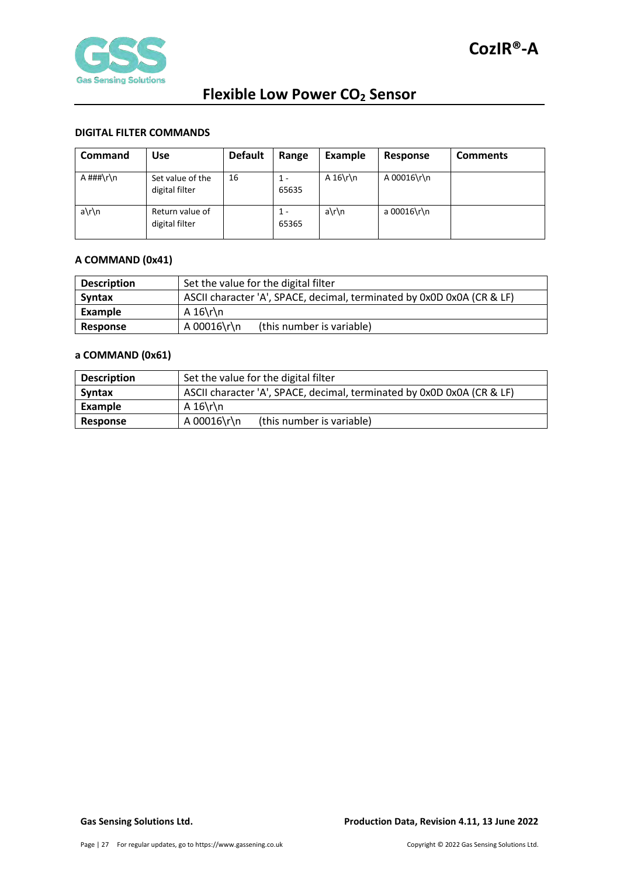

### <span id="page-26-0"></span>**DIGITAL FILTER COMMANDS**

| Command         | Use                                | <b>Default</b> | Range        | Example   | Response    | <b>Comments</b> |
|-----------------|------------------------------------|----------------|--------------|-----------|-------------|-----------------|
| A $\# \# \r \n$ | Set value of the<br>digital filter | 16             | 1 -<br>65635 | A $16\$ n | A 00016\r\n |                 |
| a\r\n           | Return value of<br>digital filter  |                | 1 -<br>65365 | a\r\n     | a 00016\r\n |                 |

#### <span id="page-26-1"></span>**A COMMAND (0x41)**

| <b>Description</b> | Set the value for the digital filter                                   |  |  |  |
|--------------------|------------------------------------------------------------------------|--|--|--|
| <b>Syntax</b>      | ASCII character 'A', SPACE, decimal, terminated by 0x0D 0x0A (CR & LF) |  |  |  |
| Example            | A $16\$ r\n                                                            |  |  |  |
| Response           | A 00016\r\n<br>(this number is variable)                               |  |  |  |

#### <span id="page-26-2"></span>**a COMMAND (0x61)**

| <b>Description</b> | Set the value for the digital filter                                   |  |  |  |  |
|--------------------|------------------------------------------------------------------------|--|--|--|--|
| <b>Syntax</b>      | ASCII character 'A', SPACE, decimal, terminated by 0x0D 0x0A (CR & LF) |  |  |  |  |
| Example            | A $16\$ r\n                                                            |  |  |  |  |
| Response           | A 00016\r\n<br>(this number is variable)                               |  |  |  |  |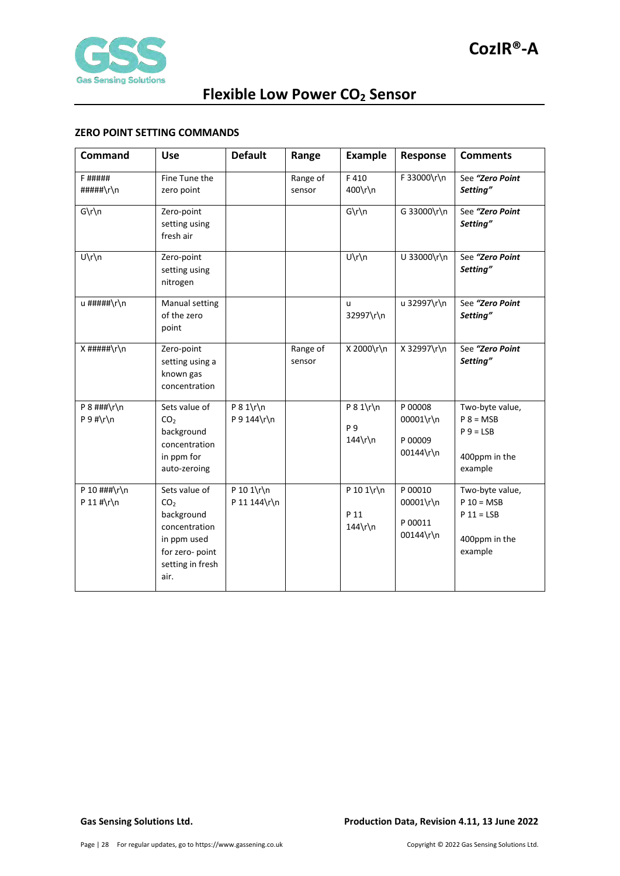

### <span id="page-27-0"></span>**ZERO POINT SETTING COMMANDS**

| Command                         | <b>Use</b>                                                                                                                    | <b>Default</b>              | Range              | <b>Example</b>                    | Response                                     | <b>Comments</b>                                                             |
|---------------------------------|-------------------------------------------------------------------------------------------------------------------------------|-----------------------------|--------------------|-----------------------------------|----------------------------------------------|-----------------------------------------------------------------------------|
| F #####<br>#####\r\n            | Fine Tune the<br>zero point                                                                                                   |                             | Range of<br>sensor | F410<br>400\r\n                   | F 33000\r\n                                  | See "Zero Point<br>Setting"                                                 |
| $G\r\ln$                        | Zero-point<br>setting using<br>fresh air                                                                                      |                             |                    | $G\r\ln$                          | G 33000\r\n                                  | See "Zero Point<br>Setting"                                                 |
| U\r\n                           | Zero-point<br>setting using<br>nitrogen                                                                                       |                             |                    | $U\r\ln$                          | U 33000\r\n                                  | See "Zero Point<br>Setting"                                                 |
| u #####\r\n                     | Manual setting<br>of the zero<br>point                                                                                        |                             |                    | u<br>32997\r\n                    | u 32997\r\n                                  | See "Zero Point<br>Setting"                                                 |
| $X$ #####\r\n                   | Zero-point<br>setting using a<br>known gas<br>concentration                                                                   |                             | Range of<br>sensor | X 2000\r\n                        | X 32997\r\n                                  | See "Zero Point<br>Setting"                                                 |
| $P 8$ ###\r\n<br>$P 9 # \r \n$  | Sets value of<br>CO <sub>2</sub><br>background<br>concentration<br>in ppm for<br>auto-zeroing                                 | $P 8 1\$ r\n<br>P 9 144\r\n |                    | $P 8 1\$ r\n<br>P 9<br>$144\$ r\n | P 00008<br>00001\r\n<br>P 00009<br>00144\r\n | Two-byte value,<br>$P 8 = MSB$<br>$P_9 = LSB$<br>400ppm in the<br>example   |
| P 10 $\#$ # $\ln$<br>P 11 #\r\n | Sets value of<br>CO <sub>2</sub><br>background<br>concentration<br>in ppm used<br>for zero- point<br>setting in fresh<br>air. | P 10 1\r\n<br>P 11 144\r\n  |                    | P 10 1\r\n<br>P 11<br>144\r\n     | P 00010<br>00001\r\n<br>P 00011<br>00144\r\n | Two-byte value,<br>$P 10 = MSB$<br>$P 11 = LSB$<br>400ppm in the<br>example |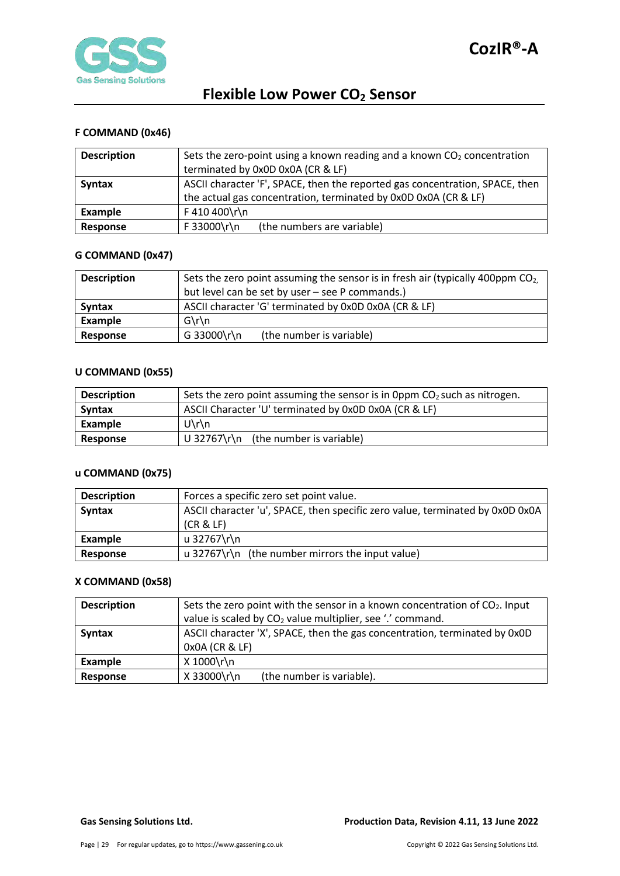

### <span id="page-28-0"></span>**F COMMAND (0x46)**

| <b>Description</b> | Sets the zero-point using a known reading and a known $CO2$ concentration<br>terminated by 0x0D 0x0A (CR & LF)                                  |  |  |  |  |
|--------------------|-------------------------------------------------------------------------------------------------------------------------------------------------|--|--|--|--|
| <b>Syntax</b>      | ASCII character 'F', SPACE, then the reported gas concentration, SPACE, then<br>the actual gas concentration, terminated by 0x0D 0x0A (CR & LF) |  |  |  |  |
| Example            | F 410 400\r\n                                                                                                                                   |  |  |  |  |
| Response           | F 33000\r\n<br>(the numbers are variable)                                                                                                       |  |  |  |  |

#### <span id="page-28-1"></span>**G COMMAND (0x47)**

| <b>Description</b> | Sets the zero point assuming the sensor is in fresh air (typically 400ppm $CO2$ ). |  |  |  |  |  |
|--------------------|------------------------------------------------------------------------------------|--|--|--|--|--|
|                    | but level can be set by user – see P commands.)                                    |  |  |  |  |  |
| Syntax             | ASCII character 'G' terminated by 0x0D 0x0A (CR & LF)                              |  |  |  |  |  |
| Example            | $G\$ n                                                                             |  |  |  |  |  |
| Response           | G 33000\r\n<br>(the number is variable)                                            |  |  |  |  |  |

### <span id="page-28-2"></span>**U COMMAND (0x55)**

| <b>Description</b> | Sets the zero point assuming the sensor is in 0ppm $CO2$ such as nitrogen. |  |  |  |  |  |
|--------------------|----------------------------------------------------------------------------|--|--|--|--|--|
| Syntax             | ASCII Character 'U' terminated by 0x0D 0x0A (CR & LF)                      |  |  |  |  |  |
| Example            | $U\$ n                                                                     |  |  |  |  |  |
| Response           | U 32767\r\n (the number is variable)                                       |  |  |  |  |  |

## <span id="page-28-3"></span>**u COMMAND (0x75)**

| <b>Description</b> | Forces a specific zero set point value.                                                   |
|--------------------|-------------------------------------------------------------------------------------------|
| <b>Syntax</b>      | ASCII character 'u', SPACE, then specific zero value, terminated by 0x0D 0x0A<br>(CR & E) |
| Example            | u 32767\r\n                                                                               |
| Response           | u 32767\r\n (the number mirrors the input value)                                          |

### <span id="page-28-4"></span>**X COMMAND (0x58)**

| <b>Description</b> | Sets the zero point with the sensor in a known concentration of CO <sub>2</sub> . Input |  |  |  |  |  |  |
|--------------------|-----------------------------------------------------------------------------------------|--|--|--|--|--|--|
|                    | value is scaled by CO <sub>2</sub> value multiplier, see '.' command.                   |  |  |  |  |  |  |
| <b>Syntax</b>      | ASCII character 'X', SPACE, then the gas concentration, terminated by 0x0D              |  |  |  |  |  |  |
|                    | 0x0A (CR & LF)                                                                          |  |  |  |  |  |  |
| Example            | X 1000\r\n                                                                              |  |  |  |  |  |  |
| Response           | X 33000\r\n<br>(the number is variable).                                                |  |  |  |  |  |  |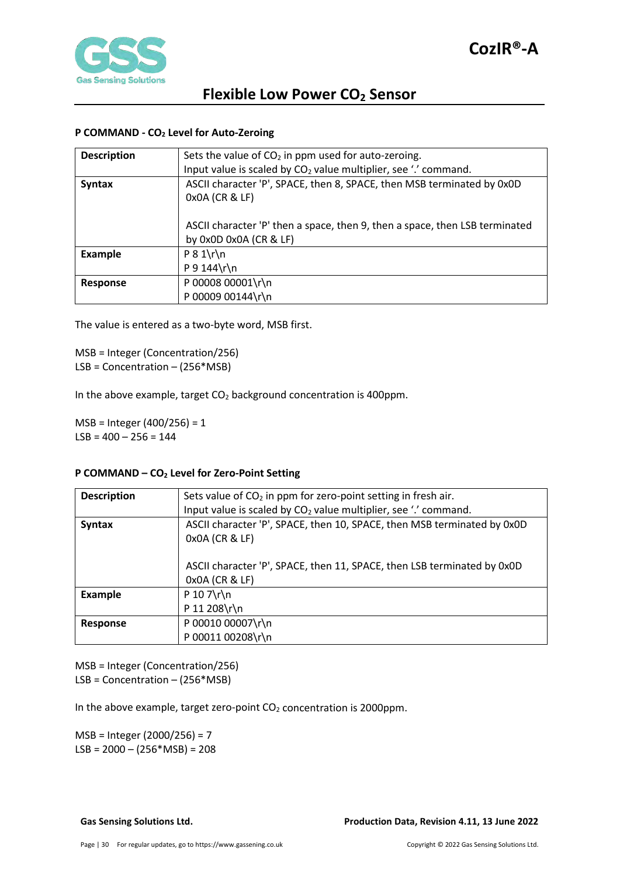

### <span id="page-29-0"></span>**P COMMAND - CO2 Level for Auto-Zeroing**

| <b>Description</b> | Sets the value of $CO2$ in ppm used for auto-zeroing.                                                 |
|--------------------|-------------------------------------------------------------------------------------------------------|
|                    | Input value is scaled by $CO2$ value multiplier, see '.' command.                                     |
| <b>Syntax</b>      | ASCII character 'P', SPACE, then 8, SPACE, then MSB terminated by 0x0D<br>0x0A (CR & LF)              |
|                    | ASCII character 'P' then a space, then 9, then a space, then LSB terminated<br>by 0x0D 0x0A (CR & LF) |
| <b>Example</b>     | $P 8 1 \r \ln$                                                                                        |
|                    | P 9 144 $\ln$                                                                                         |
| Response           | P 00008 00001\r\n                                                                                     |
|                    | P 00009 00144\r\n                                                                                     |

The value is entered as a two-byte word, MSB first.

MSB = Integer (Concentration/256) LSB = Concentration – (256\*MSB)

In the above example, target  $CO<sub>2</sub>$  background concentration is 400ppm.

MSB = Integer (400/256) = 1  $LSB = 400 - 256 = 144$ 

#### <span id="page-29-1"></span>**P COMMAND – CO2 Level for Zero-Point Setting**

| <b>Description</b> | Sets value of $CO2$ in ppm for zero-point setting in fresh air.                           |  |  |  |  |
|--------------------|-------------------------------------------------------------------------------------------|--|--|--|--|
|                    | Input value is scaled by CO <sub>2</sub> value multiplier, see '.' command.               |  |  |  |  |
| <b>Syntax</b>      | ASCII character 'P', SPACE, then 10, SPACE, then MSB terminated by 0x0D<br>0x0A (CR & LF) |  |  |  |  |
|                    | ASCII character 'P', SPACE, then 11, SPACE, then LSB terminated by 0x0D<br>0x0A (CR & LF) |  |  |  |  |
| <b>Example</b>     | $P 10 7 \rln$                                                                             |  |  |  |  |
|                    | P 11 208\r\n                                                                              |  |  |  |  |
| Response           | P 00010 00007\r\n                                                                         |  |  |  |  |
|                    | P 00011 00208\r\n                                                                         |  |  |  |  |

MSB = Integer (Concentration/256) LSB = Concentration – (256\*MSB)

In the above example, target zero-point CO<sub>2</sub> concentration is 2000ppm.

MSB = Integer (2000/256) = 7  $LSB = 2000 - (256*MSB) = 208$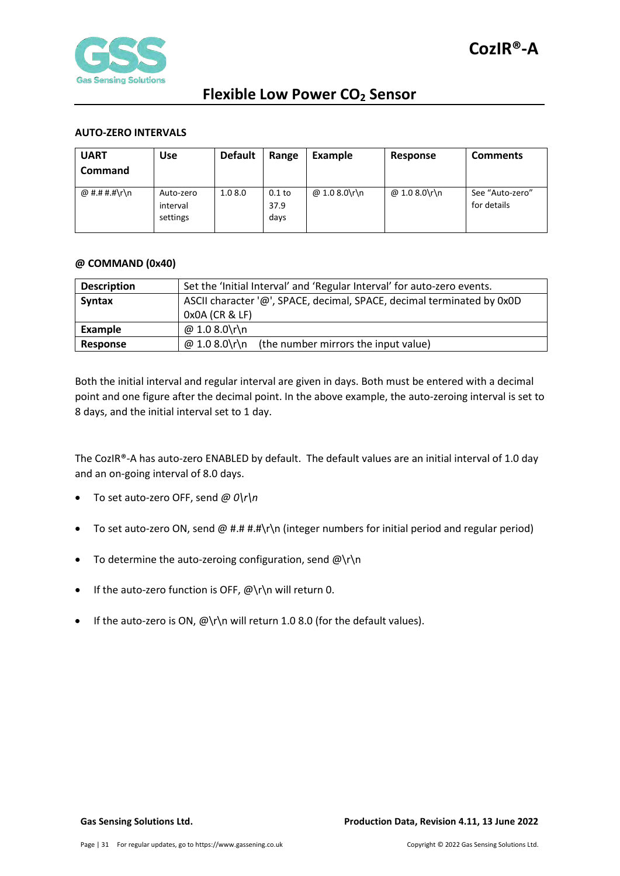

#### <span id="page-30-0"></span>**AUTO-ZERO INTERVALS**

| <b>UART</b><br><b>Command</b> | <b>Use</b>                        | <b>Default</b> | Range                    | Example       | Response      | <b>Comments</b>                |
|-------------------------------|-----------------------------------|----------------|--------------------------|---------------|---------------|--------------------------------|
| @ #.# #.#\r\n                 | Auto-zero<br>interval<br>settings | 1.08.0         | $0.1$ to<br>37.9<br>days | @ 1.0 8.0\r\n | @ 1.0 8.0\r\n | See "Auto-zero"<br>for details |

#### <span id="page-30-1"></span>**@ COMMAND (0x40)**

| <b>Description</b> | Set the 'Initial Interval' and 'Regular Interval' for auto-zero events. |  |  |  |  |  |
|--------------------|-------------------------------------------------------------------------|--|--|--|--|--|
| Syntax             | ASCII character '@', SPACE, decimal, SPACE, decimal terminated by 0x0D  |  |  |  |  |  |
|                    | $0x0A$ (CR & LF)                                                        |  |  |  |  |  |
| Example            | @ 1.0 8.0\r\n                                                           |  |  |  |  |  |
| Response           | @ 1.0 8.0\r\n<br>(the number mirrors the input value)                   |  |  |  |  |  |

Both the initial interval and regular interval are given in days. Both must be entered with a decimal point and one figure after the decimal point. In the above example, the auto-zeroing interval is set to 8 days, and the initial interval set to 1 day.

The CozIR®-A has auto-zero ENABLED by default. The default values are an initial interval of 1.0 day and an on-going interval of 8.0 days.

- To set auto-zero OFF, send *@ 0\r\n*
- To set auto-zero ON, send @ #.# #.#\r\n (integer numbers for initial period and regular period)
- To determine the auto-zeroing configuration, send  $@{\rceil}$ n
- If the auto-zero function is OFF, @\r\n will return 0.
- If the auto-zero is ON,  $@{\rightharpoonup}$  will return 1.0 8.0 (for the default values).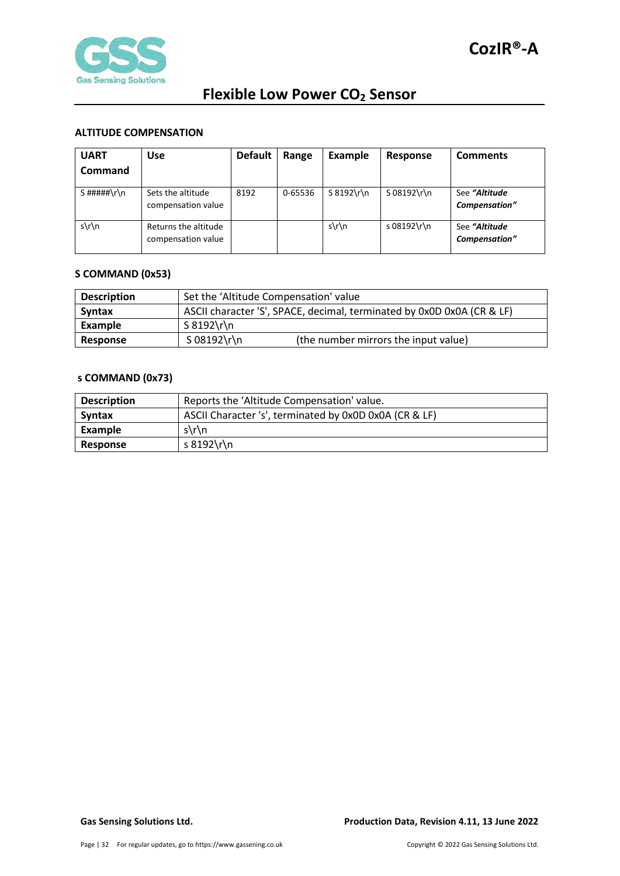

### <span id="page-31-0"></span>**ALTITUDE COMPENSATION**

| <b>UART</b><br>Command | <b>Use</b>                                 | <b>Default</b> | Range   | Example       | Response      | <b>Comments</b>                |
|------------------------|--------------------------------------------|----------------|---------|---------------|---------------|--------------------------------|
| $S$ #####\r\n          | Sets the altitude<br>compensation value    | 8192           | 0-65536 | $S 8192 \rln$ | $S$ 08192\r\n | See "Altitude<br>Compensation" |
| $s\$ n                 | Returns the altitude<br>compensation value |                |         | $s\ln n$      | s 08192\r\n   | See "Altitude<br>Compensation" |

#### <span id="page-31-1"></span>**S COMMAND (0x53)**

| <b>Description</b> | Set the 'Altitude Compensation' value                                  |                                      |  |
|--------------------|------------------------------------------------------------------------|--------------------------------------|--|
| <b>Syntax</b>      | ASCII character 'S', SPACE, decimal, terminated by 0x0D 0x0A (CR & LF) |                                      |  |
| Example            | S 8192\r\n                                                             |                                      |  |
| Response           | S 08192\r\n                                                            | (the number mirrors the input value) |  |

#### <span id="page-31-2"></span>**s COMMAND (0x73)**

| <b>Description</b> | Reports the 'Altitude Compensation' value.             |  |
|--------------------|--------------------------------------------------------|--|
| <b>Syntax</b>      | ASCII Character 's', terminated by 0x0D 0x0A (CR & LF) |  |
| Example            | $s\$ n                                                 |  |
| <b>Response</b>    | s 8192\r\n                                             |  |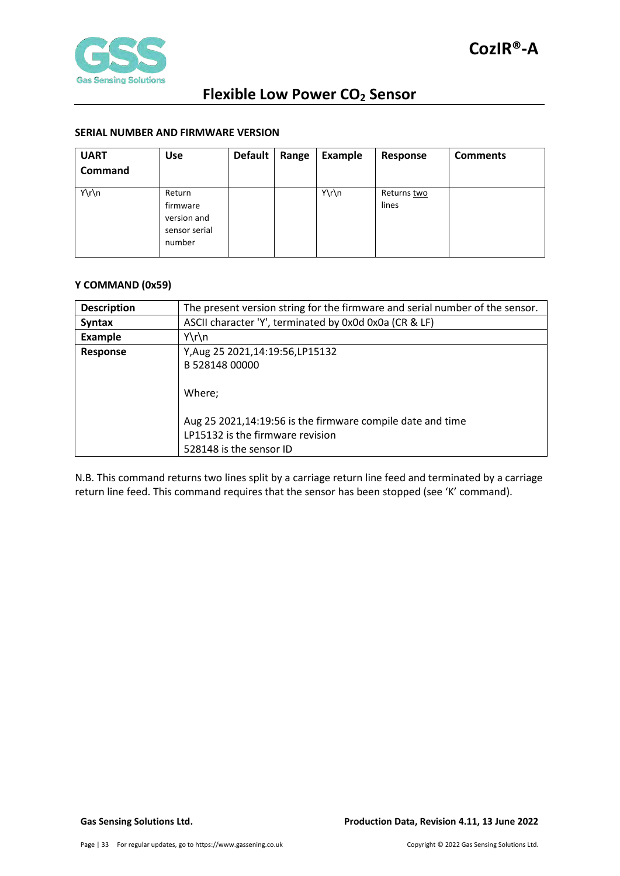

### <span id="page-32-0"></span>**SERIAL NUMBER AND FIRMWARE VERSION**

| <b>UART</b><br>Command | Use                                                          | Default | Range | <b>Example</b> | Response             | <b>Comments</b> |
|------------------------|--------------------------------------------------------------|---------|-------|----------------|----------------------|-----------------|
| Y\r\n                  | Return<br>firmware<br>version and<br>sensor serial<br>number |         |       | Y\r\n          | Returns two<br>lines |                 |

#### <span id="page-32-1"></span>**Y COMMAND (0x59)**

| <b>Description</b> | The present version string for the firmware and serial number of the sensor.                                              |  |  |
|--------------------|---------------------------------------------------------------------------------------------------------------------------|--|--|
| <b>Syntax</b>      | ASCII character 'Y', terminated by 0x0d 0x0a (CR & LF)                                                                    |  |  |
| <b>Example</b>     | $Y\r\ln$                                                                                                                  |  |  |
| <b>Response</b>    | Y, Aug 25 2021, 14: 19: 56, LP 15132                                                                                      |  |  |
|                    | B 528148 00000                                                                                                            |  |  |
|                    | Where:                                                                                                                    |  |  |
|                    | Aug 25 2021,14:19:56 is the firmware compile date and time<br>LP15132 is the firmware revision<br>528148 is the sensor ID |  |  |

N.B. This command returns two lines split by a carriage return line feed and terminated by a carriage return line feed. This command requires that the sensor has been stopped (see 'K' command).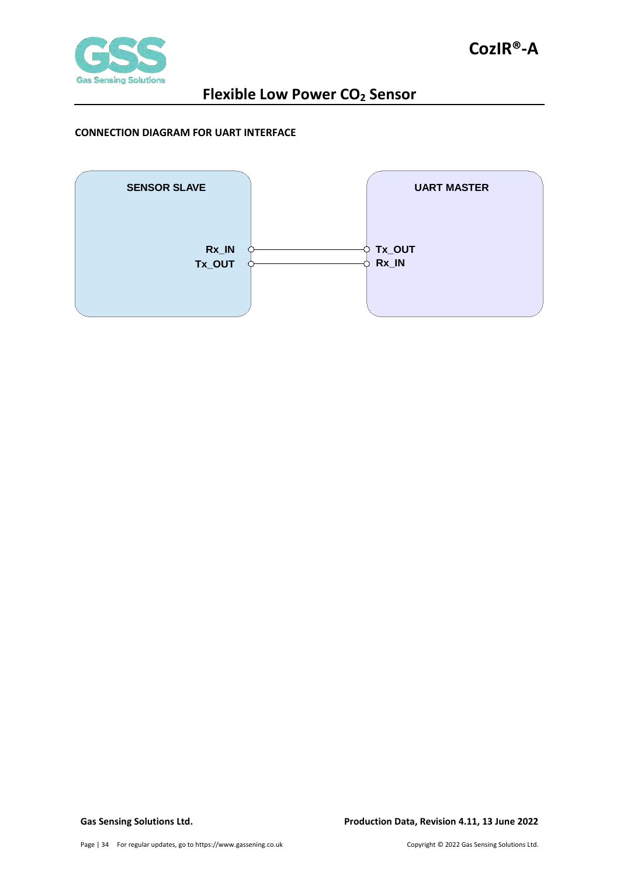

### <span id="page-33-0"></span>**CONNECTION DIAGRAM FOR UART INTERFACE**